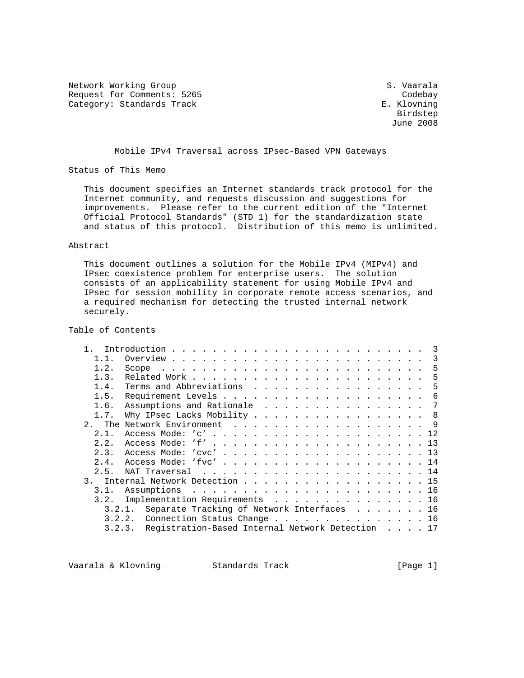Network Working Group S. Vaarala Request for Comments: 5265 Category: Standards Track Codebay Category: Standards Track Category: Standards Track

 Birdstep June 2008

#### Mobile IPv4 Traversal across IPsec-Based VPN Gateways

Status of This Memo

 This document specifies an Internet standards track protocol for the Internet community, and requests discussion and suggestions for improvements. Please refer to the current edition of the "Internet Official Protocol Standards" (STD 1) for the standardization state and status of this protocol. Distribution of this memo is unlimited.

#### Abstract

 This document outlines a solution for the Mobile IPv4 (MIPv4) and IPsec coexistence problem for enterprise users. The solution consists of an applicability statement for using Mobile IPv4 and IPsec for session mobility in corporate remote access scenarios, and a required mechanism for detecting the trusted internal network securely.

### Table of Contents

| 1 1            | 3                                                          |
|----------------|------------------------------------------------------------|
| 1.2.           | -5                                                         |
| 1.3.           | 5                                                          |
| 1.4.           | Terms and Abbreviations<br>-5                              |
| 1.5.           | -6                                                         |
| 1.6.           | Assumptions and Rationale<br>7                             |
| 1.7.           | Why IPsec Lacks Mobility 8                                 |
|                |                                                            |
| 2.1.           |                                                            |
| 2.2.           |                                                            |
| 2.3.           | Access Mode: 'cvc' 13                                      |
| 2.4.           | Access Mode: 'fvc' 14                                      |
| 2.5.           |                                                            |
| 3 <sub>1</sub> | Internal Network Detection 15                              |
| 3.1.           |                                                            |
| 3.2.           | Implementation Requirements 16                             |
|                | Separate Tracking of Network Interfaces 16<br>3.2.1.       |
|                | Connection Status Change 16<br>3.2.2.                      |
|                | Registration-Based Internal Network Detection 17<br>3.2.3. |

Vaarala & Klovning Standards Track (Page 1)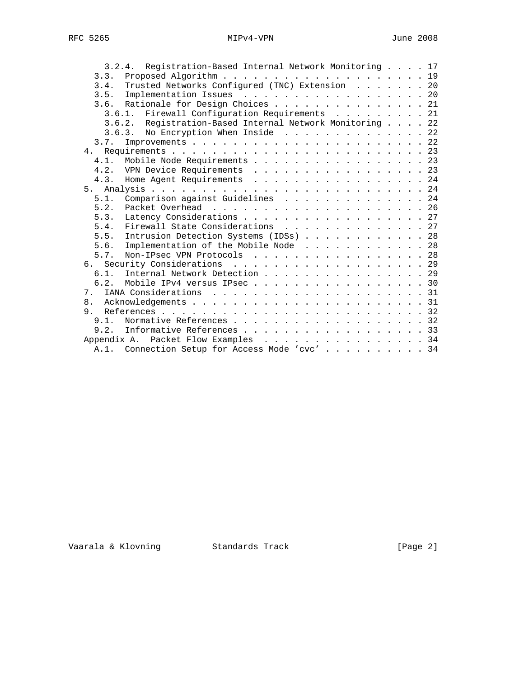| 3.2.4. Registration-Based Internal Network Monitoring 17 |  |  |  |
|----------------------------------------------------------|--|--|--|
|                                                          |  |  |  |
| Trusted Networks Configured (TNC) Extension 20<br>3.4.   |  |  |  |
| 3.5. Implementation Issues 20                            |  |  |  |
| 3.6. Rationale for Design Choices 21                     |  |  |  |
| 3.6.1. Firewall Configuration Requirements 21            |  |  |  |
| 3.6.2. Registration-Based Internal Network Monitoring 22 |  |  |  |
| 3.6.3. No Encryption When Inside 22                      |  |  |  |
| 3.7.                                                     |  |  |  |
|                                                          |  |  |  |
| Mobile Node Requirements 23<br>4.1                       |  |  |  |
| 4.2. VPN Device Requirements 23                          |  |  |  |
| 4.3. Home Agent Requirements 24                          |  |  |  |
|                                                          |  |  |  |
| 5.1.<br>Comparison against Guidelines 24                 |  |  |  |
| 5.2.                                                     |  |  |  |
| Latency Considerations 27<br>5.3.                        |  |  |  |
| Firewall State Considerations 27<br>5.4.                 |  |  |  |
| 5.5. Intrusion Detection Systems (IDSs) 28               |  |  |  |
| Implementation of the Mobile Node 28<br>5.6.             |  |  |  |
| Non-IPsec VPN Protocols 28<br>5.7.                       |  |  |  |
| 6. Security Considerations 29                            |  |  |  |
| Internal Network Detection 29<br>6.1.                    |  |  |  |
| Mobile IPv4 versus IPsec 30<br>62                        |  |  |  |
| 7 <sub>1</sub>                                           |  |  |  |
| 8.                                                       |  |  |  |
| 9 <sub>1</sub>                                           |  |  |  |
| 9.1.<br>Normative References 32                          |  |  |  |
| Informative References 33<br>9.2.                        |  |  |  |
| Appendix A. Packet Flow Examples 34                      |  |  |  |
| A.1. Connection Setup for Access Mode 'cvc' 34           |  |  |  |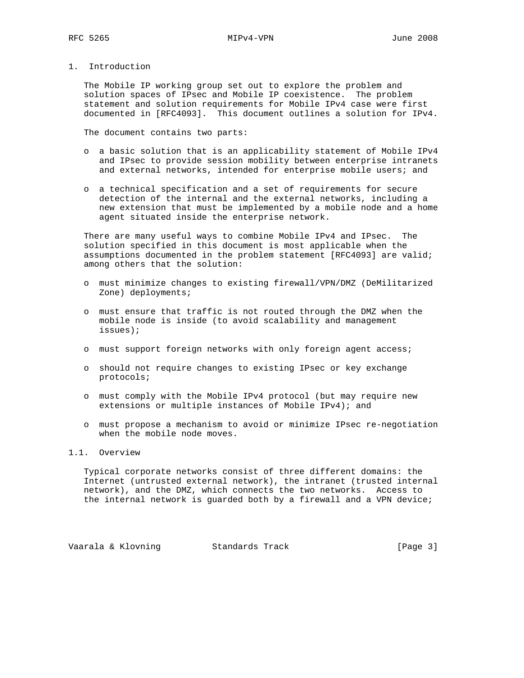1. Introduction

 The Mobile IP working group set out to explore the problem and solution spaces of IPsec and Mobile IP coexistence. The problem statement and solution requirements for Mobile IPv4 case were first documented in [RFC4093]. This document outlines a solution for IPv4.

The document contains two parts:

- o a basic solution that is an applicability statement of Mobile IPv4 and IPsec to provide session mobility between enterprise intranets and external networks, intended for enterprise mobile users; and
- o a technical specification and a set of requirements for secure detection of the internal and the external networks, including a new extension that must be implemented by a mobile node and a home agent situated inside the enterprise network.

 There are many useful ways to combine Mobile IPv4 and IPsec. The solution specified in this document is most applicable when the assumptions documented in the problem statement [RFC4093] are valid; among others that the solution:

- o must minimize changes to existing firewall/VPN/DMZ (DeMilitarized Zone) deployments;
- o must ensure that traffic is not routed through the DMZ when the mobile node is inside (to avoid scalability and management issues);
- o must support foreign networks with only foreign agent access;
- o should not require changes to existing IPsec or key exchange protocols;
- o must comply with the Mobile IPv4 protocol (but may require new extensions or multiple instances of Mobile IPv4); and
- o must propose a mechanism to avoid or minimize IPsec re-negotiation when the mobile node moves.

## 1.1. Overview

 Typical corporate networks consist of three different domains: the Internet (untrusted external network), the intranet (trusted internal network), and the DMZ, which connects the two networks. Access to the internal network is guarded both by a firewall and a VPN device;

Vaarala & Klovning Standards Track (Page 3)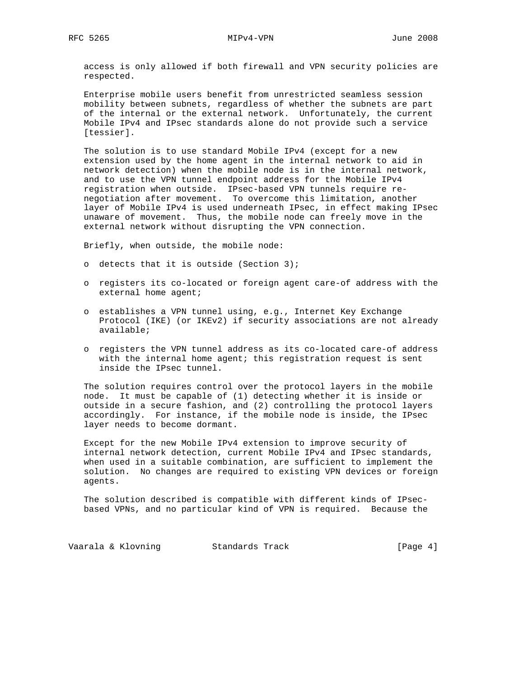access is only allowed if both firewall and VPN security policies are respected.

 Enterprise mobile users benefit from unrestricted seamless session mobility between subnets, regardless of whether the subnets are part of the internal or the external network. Unfortunately, the current Mobile IPv4 and IPsec standards alone do not provide such a service [tessier].

 The solution is to use standard Mobile IPv4 (except for a new extension used by the home agent in the internal network to aid in network detection) when the mobile node is in the internal network, and to use the VPN tunnel endpoint address for the Mobile IPv4 registration when outside. IPsec-based VPN tunnels require re negotiation after movement. To overcome this limitation, another layer of Mobile IPv4 is used underneath IPsec, in effect making IPsec unaware of movement. Thus, the mobile node can freely move in the external network without disrupting the VPN connection.

Briefly, when outside, the mobile node:

- o detects that it is outside (Section 3);
- o registers its co-located or foreign agent care-of address with the external home agent;
- o establishes a VPN tunnel using, e.g., Internet Key Exchange Protocol (IKE) (or IKEv2) if security associations are not already available;
- o registers the VPN tunnel address as its co-located care-of address with the internal home agent; this registration request is sent inside the IPsec tunnel.

 The solution requires control over the protocol layers in the mobile node. It must be capable of (1) detecting whether it is inside or outside in a secure fashion, and (2) controlling the protocol layers accordingly. For instance, if the mobile node is inside, the IPsec layer needs to become dormant.

 Except for the new Mobile IPv4 extension to improve security of internal network detection, current Mobile IPv4 and IPsec standards, when used in a suitable combination, are sufficient to implement the solution. No changes are required to existing VPN devices or foreign agents.

 The solution described is compatible with different kinds of IPsec based VPNs, and no particular kind of VPN is required. Because the

Vaarala & Klovning Standards Track (Page 4)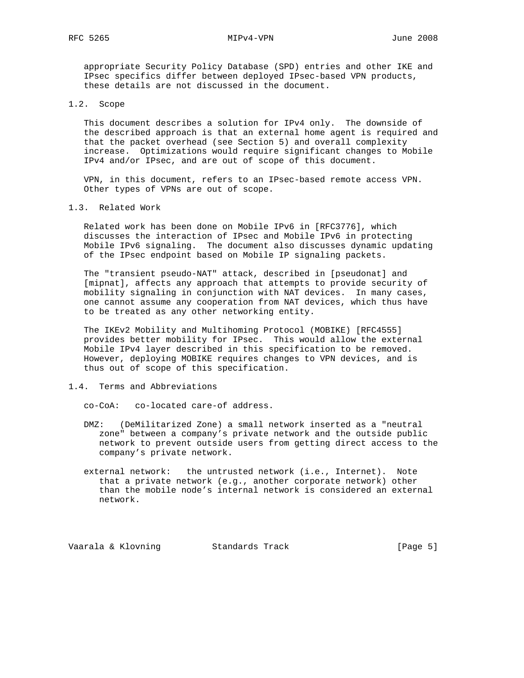appropriate Security Policy Database (SPD) entries and other IKE and IPsec specifics differ between deployed IPsec-based VPN products, these details are not discussed in the document.

#### 1.2. Scope

 This document describes a solution for IPv4 only. The downside of the described approach is that an external home agent is required and that the packet overhead (see Section 5) and overall complexity increase. Optimizations would require significant changes to Mobile IPv4 and/or IPsec, and are out of scope of this document.

 VPN, in this document, refers to an IPsec-based remote access VPN. Other types of VPNs are out of scope.

#### 1.3. Related Work

 Related work has been done on Mobile IPv6 in [RFC3776], which discusses the interaction of IPsec and Mobile IPv6 in protecting Mobile IPv6 signaling. The document also discusses dynamic updating of the IPsec endpoint based on Mobile IP signaling packets.

 The "transient pseudo-NAT" attack, described in [pseudonat] and [mipnat], affects any approach that attempts to provide security of mobility signaling in conjunction with NAT devices. In many cases, one cannot assume any cooperation from NAT devices, which thus have to be treated as any other networking entity.

 The IKEv2 Mobility and Multihoming Protocol (MOBIKE) [RFC4555] provides better mobility for IPsec. This would allow the external Mobile IPv4 layer described in this specification to be removed. However, deploying MOBIKE requires changes to VPN devices, and is thus out of scope of this specification.

### 1.4. Terms and Abbreviations

co-CoA: co-located care-of address.

- DMZ: (DeMilitarized Zone) a small network inserted as a "neutral zone" between a company's private network and the outside public network to prevent outside users from getting direct access to the company's private network.
- external network: the untrusted network (i.e., Internet). Note that a private network (e.g., another corporate network) other than the mobile node's internal network is considered an external network.

Vaarala & Klovning Standards Track (Page 5)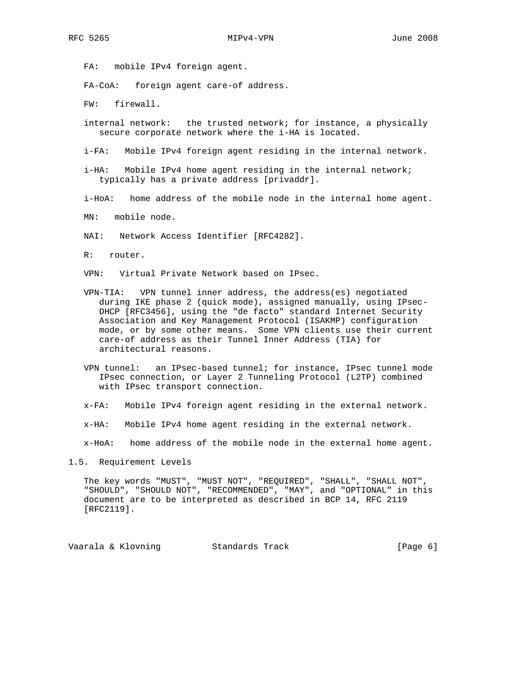FA: mobile IPv4 foreign agent.

FA-CoA: foreign agent care-of address.

FW: firewall.

- internal network: the trusted network; for instance, a physically secure corporate network where the i-HA is located.
- i-FA: Mobile IPv4 foreign agent residing in the internal network.
- i-HA: Mobile IPv4 home agent residing in the internal network; typically has a private address [privaddr].
- i-HoA: home address of the mobile node in the internal home agent.
- MN: mobile node.
- NAI: Network Access Identifier [RFC4282].
- R: router.
- VPN: Virtual Private Network based on IPsec.
- VPN-TIA: VPN tunnel inner address, the address(es) negotiated during IKE phase 2 (quick mode), assigned manually, using IPsec- DHCP [RFC3456], using the "de facto" standard Internet Security Association and Key Management Protocol (ISAKMP) configuration mode, or by some other means. Some VPN clients use their current care-of address as their Tunnel Inner Address (TIA) for architectural reasons.
- VPN tunnel: an IPsec-based tunnel; for instance, IPsec tunnel mode IPsec connection, or Layer 2 Tunneling Protocol (L2TP) combined with IPsec transport connection.
- x-FA: Mobile IPv4 foreign agent residing in the external network.
- x-HA: Mobile IPv4 home agent residing in the external network.

x-HoA: home address of the mobile node in the external home agent.

1.5. Requirement Levels

 The key words "MUST", "MUST NOT", "REQUIRED", "SHALL", "SHALL NOT", "SHOULD", "SHOULD NOT", "RECOMMENDED", "MAY", and "OPTIONAL" in this document are to be interpreted as described in BCP 14, RFC 2119 [RFC2119].

Vaarala & Klovning Standards Track (Page 6)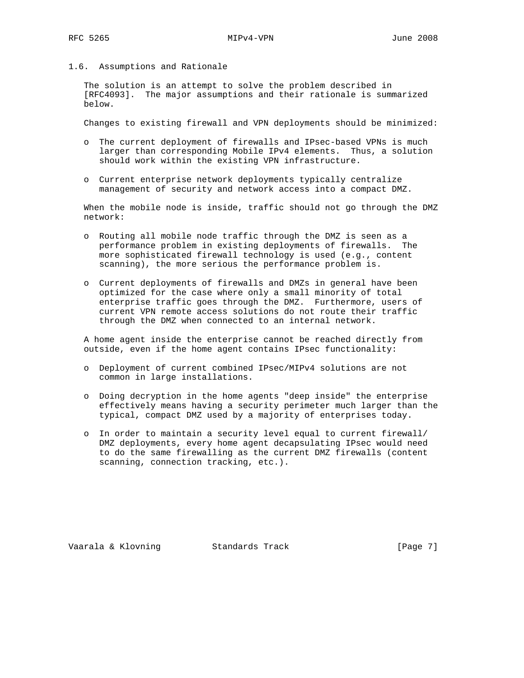1.6. Assumptions and Rationale

 The solution is an attempt to solve the problem described in [RFC4093]. The major assumptions and their rationale is summarized below.

Changes to existing firewall and VPN deployments should be minimized:

- o The current deployment of firewalls and IPsec-based VPNs is much larger than corresponding Mobile IPv4 elements. Thus, a solution should work within the existing VPN infrastructure.
- o Current enterprise network deployments typically centralize management of security and network access into a compact DMZ.

 When the mobile node is inside, traffic should not go through the DMZ network:

- o Routing all mobile node traffic through the DMZ is seen as a performance problem in existing deployments of firewalls. The more sophisticated firewall technology is used (e.g., content scanning), the more serious the performance problem is.
- o Current deployments of firewalls and DMZs in general have been optimized for the case where only a small minority of total enterprise traffic goes through the DMZ. Furthermore, users of current VPN remote access solutions do not route their traffic through the DMZ when connected to an internal network.

 A home agent inside the enterprise cannot be reached directly from outside, even if the home agent contains IPsec functionality:

- o Deployment of current combined IPsec/MIPv4 solutions are not common in large installations.
- o Doing decryption in the home agents "deep inside" the enterprise effectively means having a security perimeter much larger than the typical, compact DMZ used by a majority of enterprises today.
- o In order to maintain a security level equal to current firewall/ DMZ deployments, every home agent decapsulating IPsec would need to do the same firewalling as the current DMZ firewalls (content scanning, connection tracking, etc.).

Vaarala & Klovning Standards Track [Page 7]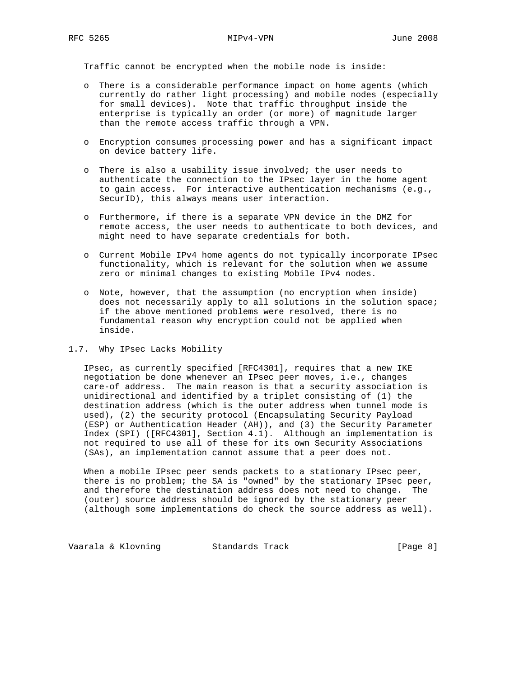Traffic cannot be encrypted when the mobile node is inside:

- o There is a considerable performance impact on home agents (which currently do rather light processing) and mobile nodes (especially for small devices). Note that traffic throughput inside the enterprise is typically an order (or more) of magnitude larger than the remote access traffic through a VPN.
- o Encryption consumes processing power and has a significant impact on device battery life.
- o There is also a usability issue involved; the user needs to authenticate the connection to the IPsec layer in the home agent to gain access. For interactive authentication mechanisms (e.g., SecurID), this always means user interaction.
- o Furthermore, if there is a separate VPN device in the DMZ for remote access, the user needs to authenticate to both devices, and might need to have separate credentials for both.
- o Current Mobile IPv4 home agents do not typically incorporate IPsec functionality, which is relevant for the solution when we assume zero or minimal changes to existing Mobile IPv4 nodes.
- o Note, however, that the assumption (no encryption when inside) does not necessarily apply to all solutions in the solution space; if the above mentioned problems were resolved, there is no fundamental reason why encryption could not be applied when inside.

#### 1.7. Why IPsec Lacks Mobility

 IPsec, as currently specified [RFC4301], requires that a new IKE negotiation be done whenever an IPsec peer moves, i.e., changes care-of address. The main reason is that a security association is unidirectional and identified by a triplet consisting of (1) the destination address (which is the outer address when tunnel mode is used), (2) the security protocol (Encapsulating Security Payload (ESP) or Authentication Header (AH)), and (3) the Security Parameter Index (SPI) ([RFC4301], Section 4.1). Although an implementation is not required to use all of these for its own Security Associations (SAs), an implementation cannot assume that a peer does not.

 When a mobile IPsec peer sends packets to a stationary IPsec peer, there is no problem; the SA is "owned" by the stationary IPsec peer, and therefore the destination address does not need to change. The (outer) source address should be ignored by the stationary peer (although some implementations do check the source address as well).

Vaarala & Klovning Standards Track (Page 8)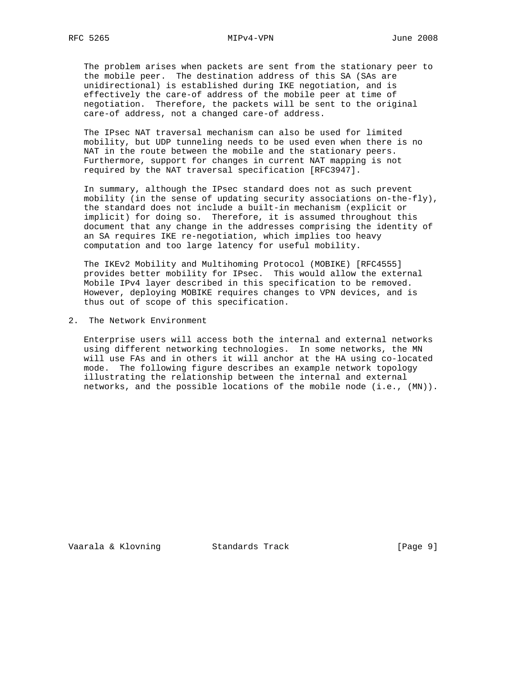The problem arises when packets are sent from the stationary peer to the mobile peer. The destination address of this SA (SAs are unidirectional) is established during IKE negotiation, and is effectively the care-of address of the mobile peer at time of negotiation. Therefore, the packets will be sent to the original care-of address, not a changed care-of address.

 The IPsec NAT traversal mechanism can also be used for limited mobility, but UDP tunneling needs to be used even when there is no NAT in the route between the mobile and the stationary peers. Furthermore, support for changes in current NAT mapping is not required by the NAT traversal specification [RFC3947].

 In summary, although the IPsec standard does not as such prevent mobility (in the sense of updating security associations on-the-fly), the standard does not include a built-in mechanism (explicit or implicit) for doing so. Therefore, it is assumed throughout this document that any change in the addresses comprising the identity of an SA requires IKE re-negotiation, which implies too heavy computation and too large latency for useful mobility.

 The IKEv2 Mobility and Multihoming Protocol (MOBIKE) [RFC4555] provides better mobility for IPsec. This would allow the external Mobile IPv4 layer described in this specification to be removed. However, deploying MOBIKE requires changes to VPN devices, and is thus out of scope of this specification.

2. The Network Environment

 Enterprise users will access both the internal and external networks using different networking technologies. In some networks, the MN will use FAs and in others it will anchor at the HA using co-located mode. The following figure describes an example network topology illustrating the relationship between the internal and external networks, and the possible locations of the mobile node (i.e., (MN)).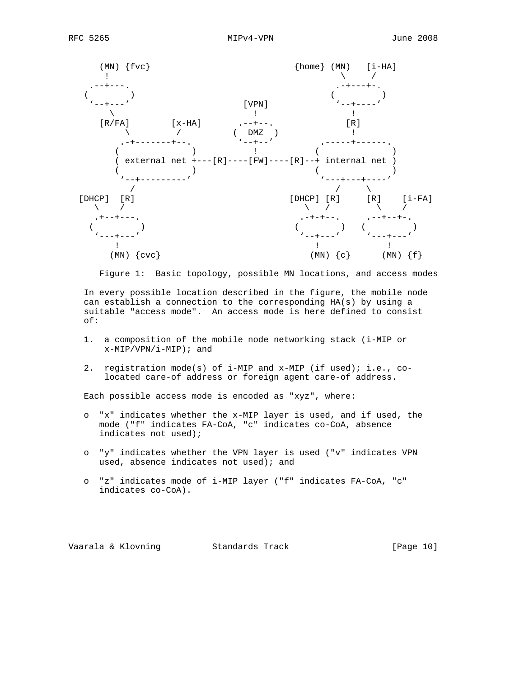

Figure 1: Basic topology, possible MN locations, and access modes

 In every possible location described in the figure, the mobile node can establish a connection to the corresponding HA(s) by using a suitable "access mode". An access mode is here defined to consist of:

- 1. a composition of the mobile node networking stack (i-MIP or  $x-MIP/VPN/i-MIP$ ; and
- 2. registration mode(s) of i-MIP and x-MIP (if used); i.e., co located care-of address or foreign agent care-of address.

Each possible access mode is encoded as "xyz", where:

- o "x" indicates whether the x-MIP layer is used, and if used, the mode ("f" indicates FA-CoA, "c" indicates co-CoA, absence indicates not used);
- o "y" indicates whether the VPN layer is used ("v" indicates VPN used, absence indicates not used); and
- o "z" indicates mode of i-MIP layer ("f" indicates FA-CoA, "c" indicates co-CoA).

Vaarala & Klovning Standards Track [Page 10]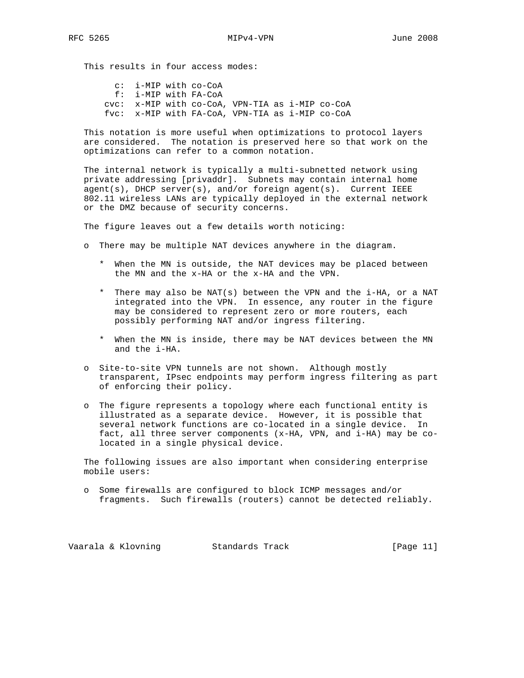This results in four access modes:

 c: i-MIP with co-CoA f: i-MIP with FA-CoA cvc: x-MIP with co-CoA, VPN-TIA as i-MIP co-CoA fvc: x-MIP with FA-CoA, VPN-TIA as i-MIP co-CoA

 This notation is more useful when optimizations to protocol layers are considered. The notation is preserved here so that work on the optimizations can refer to a common notation.

 The internal network is typically a multi-subnetted network using private addressing [privaddr]. Subnets may contain internal home agent(s), DHCP server(s), and/or foreign agent(s). Current IEEE 802.11 wireless LANs are typically deployed in the external network or the DMZ because of security concerns.

The figure leaves out a few details worth noticing:

- o There may be multiple NAT devices anywhere in the diagram.
	- \* When the MN is outside, the NAT devices may be placed between the MN and the x-HA or the x-HA and the VPN.
	- \* There may also be NAT(s) between the VPN and the i-HA, or a NAT integrated into the VPN. In essence, any router in the figure may be considered to represent zero or more routers, each possibly performing NAT and/or ingress filtering.
	- \* When the MN is inside, there may be NAT devices between the MN and the i-HA.
- o Site-to-site VPN tunnels are not shown. Although mostly transparent, IPsec endpoints may perform ingress filtering as part of enforcing their policy.
- o The figure represents a topology where each functional entity is illustrated as a separate device. However, it is possible that several network functions are co-located in a single device. In fact, all three server components (x-HA, VPN, and i-HA) may be co located in a single physical device.

 The following issues are also important when considering enterprise mobile users:

 o Some firewalls are configured to block ICMP messages and/or fragments. Such firewalls (routers) cannot be detected reliably.

Vaarala & Klovning Standards Track [Page 11]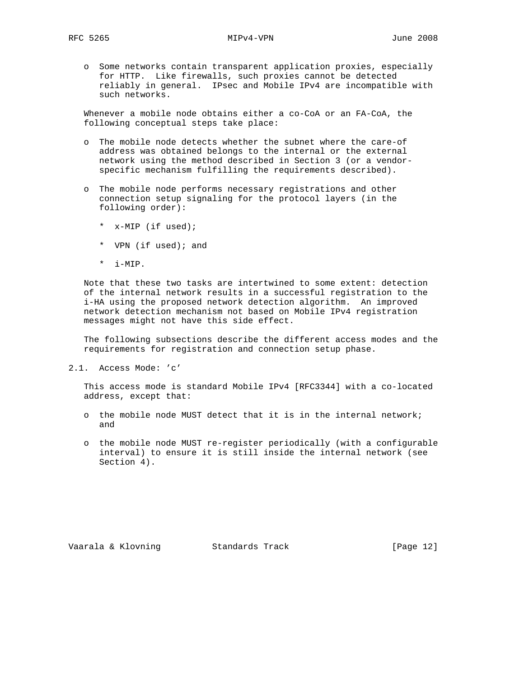o Some networks contain transparent application proxies, especially for HTTP. Like firewalls, such proxies cannot be detected reliably in general. IPsec and Mobile IPv4 are incompatible with such networks.

 Whenever a mobile node obtains either a co-CoA or an FA-CoA, the following conceptual steps take place:

- o The mobile node detects whether the subnet where the care-of address was obtained belongs to the internal or the external network using the method described in Section 3 (or a vendor specific mechanism fulfilling the requirements described).
- o The mobile node performs necessary registrations and other connection setup signaling for the protocol layers (in the following order):
	- \* x-MIP (if used);
	- \* VPN (if used); and
	- \* i-MIP.

 Note that these two tasks are intertwined to some extent: detection of the internal network results in a successful registration to the i-HA using the proposed network detection algorithm. An improved network detection mechanism not based on Mobile IPv4 registration messages might not have this side effect.

 The following subsections describe the different access modes and the requirements for registration and connection setup phase.

2.1. Access Mode: 'c'

 This access mode is standard Mobile IPv4 [RFC3344] with a co-located address, except that:

- o the mobile node MUST detect that it is in the internal network; and
- o the mobile node MUST re-register periodically (with a configurable interval) to ensure it is still inside the internal network (see Section 4).

Vaarala & Klovning Standards Track [Page 12]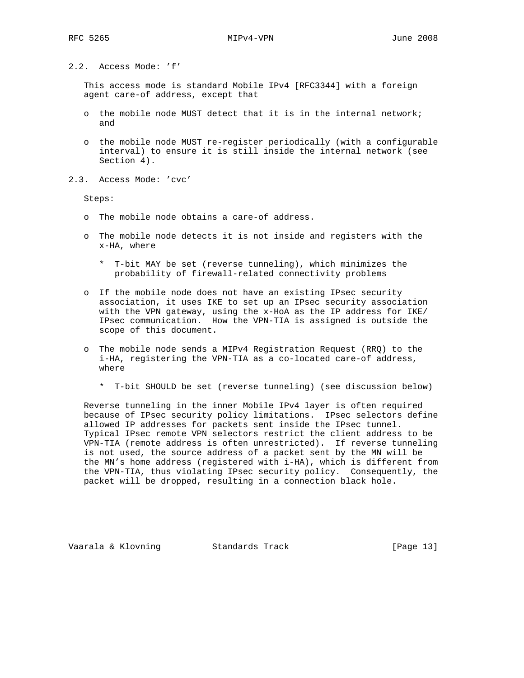2.2. Access Mode: 'f'

 This access mode is standard Mobile IPv4 [RFC3344] with a foreign agent care-of address, except that

- o the mobile node MUST detect that it is in the internal network; and
- o the mobile node MUST re-register periodically (with a configurable interval) to ensure it is still inside the internal network (see Section 4).
- 2.3. Access Mode: 'cvc'

Steps:

- o The mobile node obtains a care-of address.
- o The mobile node detects it is not inside and registers with the x-HA, where
	- \* T-bit MAY be set (reverse tunneling), which minimizes the probability of firewall-related connectivity problems
- o If the mobile node does not have an existing IPsec security association, it uses IKE to set up an IPsec security association with the VPN gateway, using the x-HoA as the IP address for IKE/ IPsec communication. How the VPN-TIA is assigned is outside the scope of this document.
- o The mobile node sends a MIPv4 Registration Request (RRQ) to the i-HA, registering the VPN-TIA as a co-located care-of address, where
	- \* T-bit SHOULD be set (reverse tunneling) (see discussion below)

 Reverse tunneling in the inner Mobile IPv4 layer is often required because of IPsec security policy limitations. IPsec selectors define allowed IP addresses for packets sent inside the IPsec tunnel. Typical IPsec remote VPN selectors restrict the client address to be VPN-TIA (remote address is often unrestricted). If reverse tunneling is not used, the source address of a packet sent by the MN will be the MN's home address (registered with i-HA), which is different from the VPN-TIA, thus violating IPsec security policy. Consequently, the packet will be dropped, resulting in a connection black hole.

Vaarala & Klovning Standards Track [Page 13]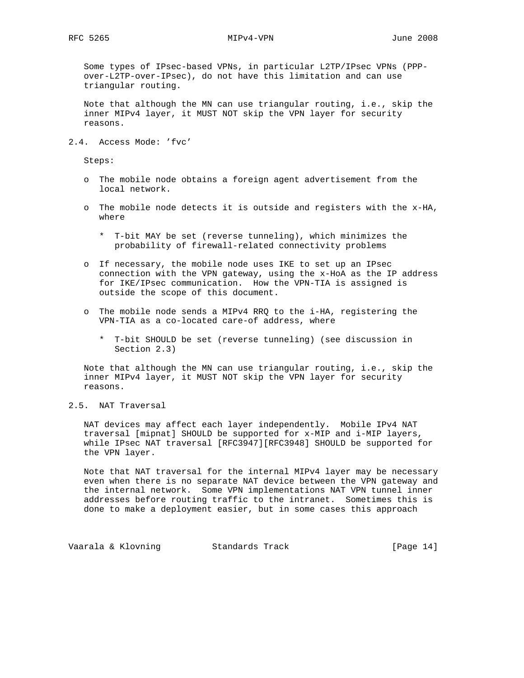Some types of IPsec-based VPNs, in particular L2TP/IPsec VPNs (PPP over-L2TP-over-IPsec), do not have this limitation and can use triangular routing.

 Note that although the MN can use triangular routing, i.e., skip the inner MIPv4 layer, it MUST NOT skip the VPN layer for security reasons.

2.4. Access Mode: 'fvc'

Steps:

- o The mobile node obtains a foreign agent advertisement from the local network.
- o The mobile node detects it is outside and registers with the x-HA, where
	- \* T-bit MAY be set (reverse tunneling), which minimizes the probability of firewall-related connectivity problems
- o If necessary, the mobile node uses IKE to set up an IPsec connection with the VPN gateway, using the x-HoA as the IP address for IKE/IPsec communication. How the VPN-TIA is assigned is outside the scope of this document.
- o The mobile node sends a MIPv4 RRQ to the i-HA, registering the VPN-TIA as a co-located care-of address, where
	- \* T-bit SHOULD be set (reverse tunneling) (see discussion in Section 2.3)

 Note that although the MN can use triangular routing, i.e., skip the inner MIPv4 layer, it MUST NOT skip the VPN layer for security reasons.

2.5. NAT Traversal

 NAT devices may affect each layer independently. Mobile IPv4 NAT traversal [mipnat] SHOULD be supported for x-MIP and i-MIP layers, while IPsec NAT traversal [RFC3947][RFC3948] SHOULD be supported for the VPN layer.

 Note that NAT traversal for the internal MIPv4 layer may be necessary even when there is no separate NAT device between the VPN gateway and the internal network. Some VPN implementations NAT VPN tunnel inner addresses before routing traffic to the intranet. Sometimes this is done to make a deployment easier, but in some cases this approach

Vaarala & Klovning Standards Track [Page 14]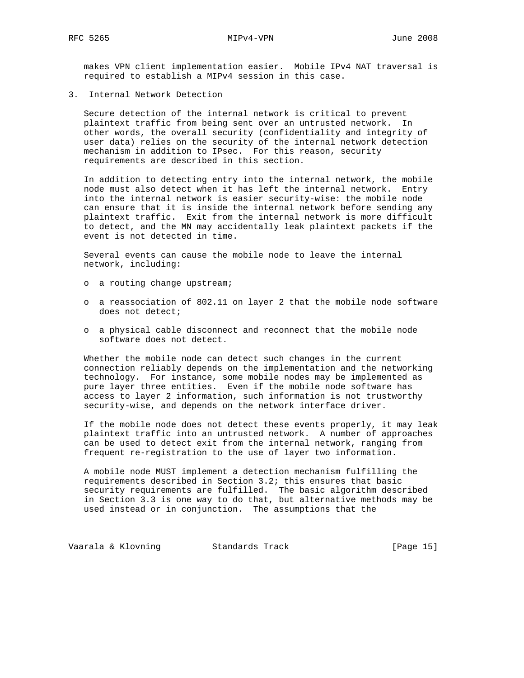makes VPN client implementation easier. Mobile IPv4 NAT traversal is required to establish a MIPv4 session in this case.

3. Internal Network Detection

 Secure detection of the internal network is critical to prevent plaintext traffic from being sent over an untrusted network. In other words, the overall security (confidentiality and integrity of user data) relies on the security of the internal network detection mechanism in addition to IPsec. For this reason, security requirements are described in this section.

 In addition to detecting entry into the internal network, the mobile node must also detect when it has left the internal network. Entry into the internal network is easier security-wise: the mobile node can ensure that it is inside the internal network before sending any plaintext traffic. Exit from the internal network is more difficult to detect, and the MN may accidentally leak plaintext packets if the event is not detected in time.

 Several events can cause the mobile node to leave the internal network, including:

- o a routing change upstream;
- o a reassociation of 802.11 on layer 2 that the mobile node software does not detect;
- o a physical cable disconnect and reconnect that the mobile node software does not detect.

 Whether the mobile node can detect such changes in the current connection reliably depends on the implementation and the networking technology. For instance, some mobile nodes may be implemented as pure layer three entities. Even if the mobile node software has access to layer 2 information, such information is not trustworthy security-wise, and depends on the network interface driver.

 If the mobile node does not detect these events properly, it may leak plaintext traffic into an untrusted network. A number of approaches can be used to detect exit from the internal network, ranging from frequent re-registration to the use of layer two information.

 A mobile node MUST implement a detection mechanism fulfilling the requirements described in Section 3.2; this ensures that basic security requirements are fulfilled. The basic algorithm described in Section 3.3 is one way to do that, but alternative methods may be used instead or in conjunction. The assumptions that the

Vaarala & Klovning Standards Track [Page 15]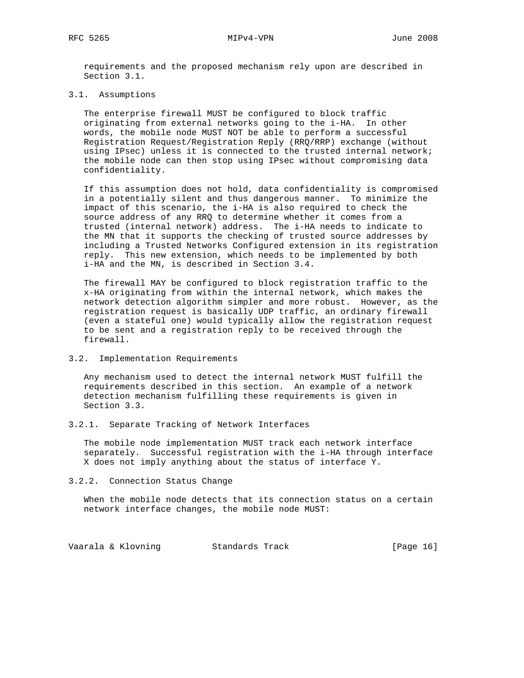requirements and the proposed mechanism rely upon are described in Section 3.1.

#### 3.1. Assumptions

 The enterprise firewall MUST be configured to block traffic originating from external networks going to the i-HA. In other words, the mobile node MUST NOT be able to perform a successful Registration Request/Registration Reply (RRQ/RRP) exchange (without using IPsec) unless it is connected to the trusted internal network; the mobile node can then stop using IPsec without compromising data confidentiality.

 If this assumption does not hold, data confidentiality is compromised in a potentially silent and thus dangerous manner. To minimize the impact of this scenario, the i-HA is also required to check the source address of any RRQ to determine whether it comes from a trusted (internal network) address. The i-HA needs to indicate to the MN that it supports the checking of trusted source addresses by including a Trusted Networks Configured extension in its registration reply. This new extension, which needs to be implemented by both i-HA and the MN, is described in Section 3.4.

 The firewall MAY be configured to block registration traffic to the x-HA originating from within the internal network, which makes the network detection algorithm simpler and more robust. However, as the registration request is basically UDP traffic, an ordinary firewall (even a stateful one) would typically allow the registration request to be sent and a registration reply to be received through the firewall.

#### 3.2. Implementation Requirements

 Any mechanism used to detect the internal network MUST fulfill the requirements described in this section. An example of a network detection mechanism fulfilling these requirements is given in Section 3.3.

3.2.1. Separate Tracking of Network Interfaces

 The mobile node implementation MUST track each network interface separately. Successful registration with the i-HA through interface X does not imply anything about the status of interface Y.

#### 3.2.2. Connection Status Change

 When the mobile node detects that its connection status on a certain network interface changes, the mobile node MUST:

Vaarala & Klovning Standards Track [Page 16]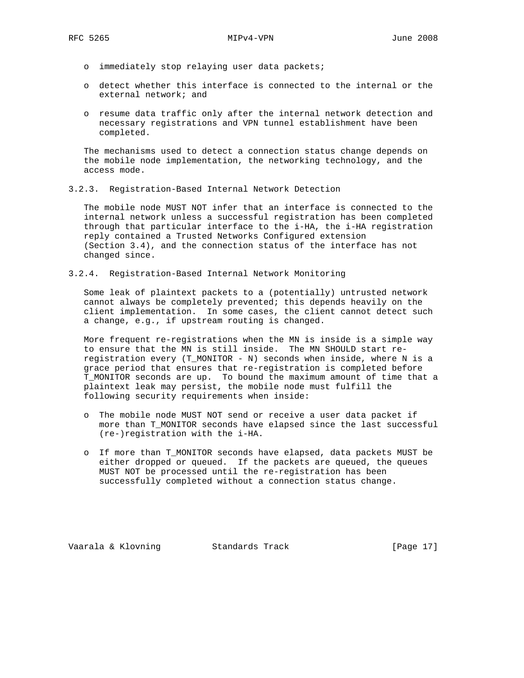- o immediately stop relaying user data packets;
- o detect whether this interface is connected to the internal or the external network; and
- o resume data traffic only after the internal network detection and necessary registrations and VPN tunnel establishment have been completed.

 The mechanisms used to detect a connection status change depends on the mobile node implementation, the networking technology, and the access mode.

3.2.3. Registration-Based Internal Network Detection

 The mobile node MUST NOT infer that an interface is connected to the internal network unless a successful registration has been completed through that particular interface to the i-HA, the i-HA registration reply contained a Trusted Networks Configured extension (Section 3.4), and the connection status of the interface has not changed since.

3.2.4. Registration-Based Internal Network Monitoring

 Some leak of plaintext packets to a (potentially) untrusted network cannot always be completely prevented; this depends heavily on the client implementation. In some cases, the client cannot detect such a change, e.g., if upstream routing is changed.

 More frequent re-registrations when the MN is inside is a simple way to ensure that the MN is still inside. The MN SHOULD start re registration every (T\_MONITOR - N) seconds when inside, where N is a grace period that ensures that re-registration is completed before T\_MONITOR seconds are up. To bound the maximum amount of time that a plaintext leak may persist, the mobile node must fulfill the following security requirements when inside:

- o The mobile node MUST NOT send or receive a user data packet if more than T\_MONITOR seconds have elapsed since the last successful (re-)registration with the i-HA.
- o If more than T\_MONITOR seconds have elapsed, data packets MUST be either dropped or queued. If the packets are queued, the queues MUST NOT be processed until the re-registration has been successfully completed without a connection status change.

Vaarala & Klovning Standards Track [Page 17]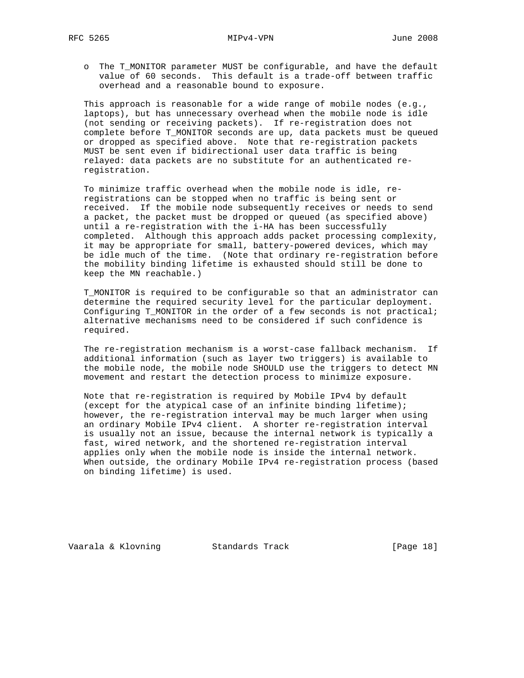o The T\_MONITOR parameter MUST be configurable, and have the default value of 60 seconds. This default is a trade-off between traffic overhead and a reasonable bound to exposure.

 This approach is reasonable for a wide range of mobile nodes (e.g., laptops), but has unnecessary overhead when the mobile node is idle (not sending or receiving packets). If re-registration does not complete before T\_MONITOR seconds are up, data packets must be queued or dropped as specified above. Note that re-registration packets MUST be sent even if bidirectional user data traffic is being relayed: data packets are no substitute for an authenticated re registration.

 To minimize traffic overhead when the mobile node is idle, re registrations can be stopped when no traffic is being sent or received. If the mobile node subsequently receives or needs to send a packet, the packet must be dropped or queued (as specified above) until a re-registration with the i-HA has been successfully completed. Although this approach adds packet processing complexity, it may be appropriate for small, battery-powered devices, which may be idle much of the time. (Note that ordinary re-registration before the mobility binding lifetime is exhausted should still be done to keep the MN reachable.)

 T\_MONITOR is required to be configurable so that an administrator can determine the required security level for the particular deployment. Configuring T\_MONITOR in the order of a few seconds is not practical; alternative mechanisms need to be considered if such confidence is required.

 The re-registration mechanism is a worst-case fallback mechanism. If additional information (such as layer two triggers) is available to the mobile node, the mobile node SHOULD use the triggers to detect MN movement and restart the detection process to minimize exposure.

 Note that re-registration is required by Mobile IPv4 by default (except for the atypical case of an infinite binding lifetime); however, the re-registration interval may be much larger when using an ordinary Mobile IPv4 client. A shorter re-registration interval is usually not an issue, because the internal network is typically a fast, wired network, and the shortened re-registration interval applies only when the mobile node is inside the internal network. When outside, the ordinary Mobile IPv4 re-registration process (based on binding lifetime) is used.

Vaarala & Klovning Standards Track [Page 18]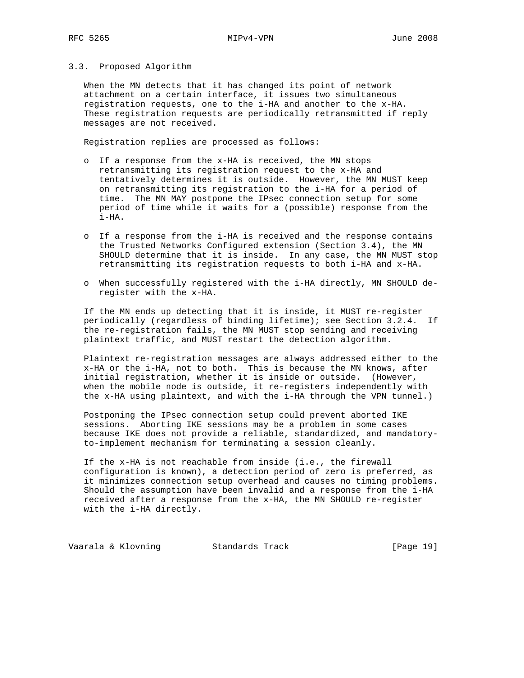#### 3.3. Proposed Algorithm

 When the MN detects that it has changed its point of network attachment on a certain interface, it issues two simultaneous registration requests, one to the i-HA and another to the x-HA. These registration requests are periodically retransmitted if reply messages are not received.

Registration replies are processed as follows:

- o If a response from the x-HA is received, the MN stops retransmitting its registration request to the x-HA and tentatively determines it is outside. However, the MN MUST keep on retransmitting its registration to the i-HA for a period of time. The MN MAY postpone the IPsec connection setup for some period of time while it waits for a (possible) response from the i-HA.
- o If a response from the i-HA is received and the response contains the Trusted Networks Configured extension (Section 3.4), the MN SHOULD determine that it is inside. In any case, the MN MUST stop retransmitting its registration requests to both i-HA and x-HA.
- o When successfully registered with the i-HA directly, MN SHOULD de register with the x-HA.

 If the MN ends up detecting that it is inside, it MUST re-register periodically (regardless of binding lifetime); see Section 3.2.4. If the re-registration fails, the MN MUST stop sending and receiving plaintext traffic, and MUST restart the detection algorithm.

 Plaintext re-registration messages are always addressed either to the x-HA or the i-HA, not to both. This is because the MN knows, after initial registration, whether it is inside or outside. (However, when the mobile node is outside, it re-registers independently with the x-HA using plaintext, and with the i-HA through the VPN tunnel.)

 Postponing the IPsec connection setup could prevent aborted IKE sessions. Aborting IKE sessions may be a problem in some cases because IKE does not provide a reliable, standardized, and mandatory to-implement mechanism for terminating a session cleanly.

 If the x-HA is not reachable from inside (i.e., the firewall configuration is known), a detection period of zero is preferred, as it minimizes connection setup overhead and causes no timing problems. Should the assumption have been invalid and a response from the i-HA received after a response from the x-HA, the MN SHOULD re-register with the i-HA directly.

Vaarala & Klovning Standards Track [Page 19]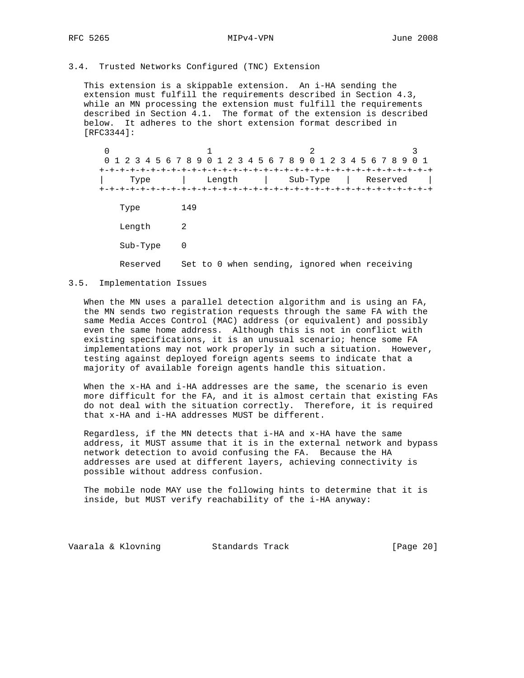#### 3.4. Trusted Networks Configured (TNC) Extension

 This extension is a skippable extension. An i-HA sending the extension must fulfill the requirements described in Section 4.3, while an MN processing the extension must fulfill the requirements described in Section 4.1. The format of the extension is described below. It adheres to the short extension format described in [RFC3344]:

 $0$  1 2 3 0 1 2 3 4 5 6 7 8 9 0 1 2 3 4 5 6 7 8 9 0 1 2 3 4 5 6 7 8 9 0 1 +-+-+-+-+-+-+-+-+-+-+-+-+-+-+-+-+-+-+-+-+-+-+-+-+-+-+-+-+-+-+-+-+ | Type | Length | Sub-Type | Reserved | +-+-+-+-+-+-+-+-+-+-+-+-+-+-+-+-+-+-+-+-+-+-+-+-+-+-+-+-+-+-+-+-+ Type 149 Length 2 Sub-Type 0 Reserved Set to 0 when sending, ignored when receiving

### 3.5. Implementation Issues

 When the MN uses a parallel detection algorithm and is using an FA, the MN sends two registration requests through the same FA with the same Media Acces Control (MAC) address (or equivalent) and possibly even the same home address. Although this is not in conflict with existing specifications, it is an unusual scenario; hence some FA implementations may not work properly in such a situation. However, testing against deployed foreign agents seems to indicate that a majority of available foreign agents handle this situation.

 When the x-HA and i-HA addresses are the same, the scenario is even more difficult for the FA, and it is almost certain that existing FAs do not deal with the situation correctly. Therefore, it is required that x-HA and i-HA addresses MUST be different.

 Regardless, if the MN detects that i-HA and x-HA have the same address, it MUST assume that it is in the external network and bypass network detection to avoid confusing the FA. Because the HA addresses are used at different layers, achieving connectivity is possible without address confusion.

 The mobile node MAY use the following hints to determine that it is inside, but MUST verify reachability of the i-HA anyway:

Vaarala & Klovning Standards Track [Page 20]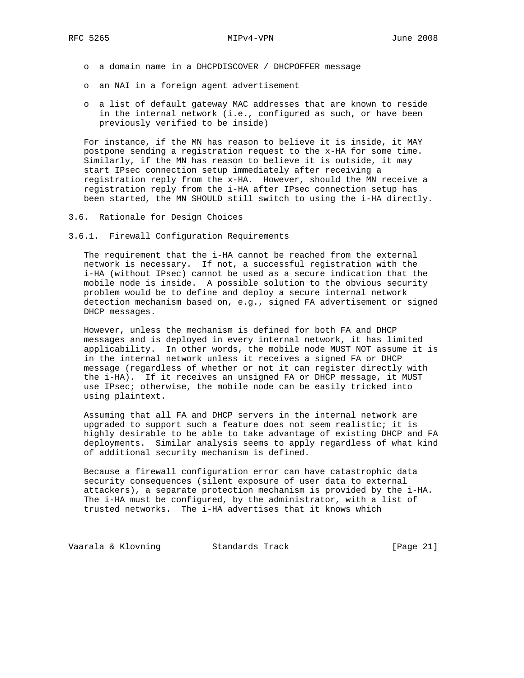- o a domain name in a DHCPDISCOVER / DHCPOFFER message
- o an NAI in a foreign agent advertisement
- o a list of default gateway MAC addresses that are known to reside in the internal network (i.e., configured as such, or have been previously verified to be inside)

 For instance, if the MN has reason to believe it is inside, it MAY postpone sending a registration request to the x-HA for some time. Similarly, if the MN has reason to believe it is outside, it may start IPsec connection setup immediately after receiving a registration reply from the x-HA. However, should the MN receive a registration reply from the i-HA after IPsec connection setup has been started, the MN SHOULD still switch to using the i-HA directly.

- 3.6. Rationale for Design Choices
- 3.6.1. Firewall Configuration Requirements

 The requirement that the i-HA cannot be reached from the external network is necessary. If not, a successful registration with the i-HA (without IPsec) cannot be used as a secure indication that the mobile node is inside. A possible solution to the obvious security problem would be to define and deploy a secure internal network detection mechanism based on, e.g., signed FA advertisement or signed DHCP messages.

 However, unless the mechanism is defined for both FA and DHCP messages and is deployed in every internal network, it has limited applicability. In other words, the mobile node MUST NOT assume it is in the internal network unless it receives a signed FA or DHCP message (regardless of whether or not it can register directly with the i-HA). If it receives an unsigned FA or DHCP message, it MUST use IPsec; otherwise, the mobile node can be easily tricked into using plaintext.

 Assuming that all FA and DHCP servers in the internal network are upgraded to support such a feature does not seem realistic; it is highly desirable to be able to take advantage of existing DHCP and FA deployments. Similar analysis seems to apply regardless of what kind of additional security mechanism is defined.

 Because a firewall configuration error can have catastrophic data security consequences (silent exposure of user data to external attackers), a separate protection mechanism is provided by the i-HA. The i-HA must be configured, by the administrator, with a list of trusted networks. The i-HA advertises that it knows which

Vaarala & Klovning Standards Track [Page 21]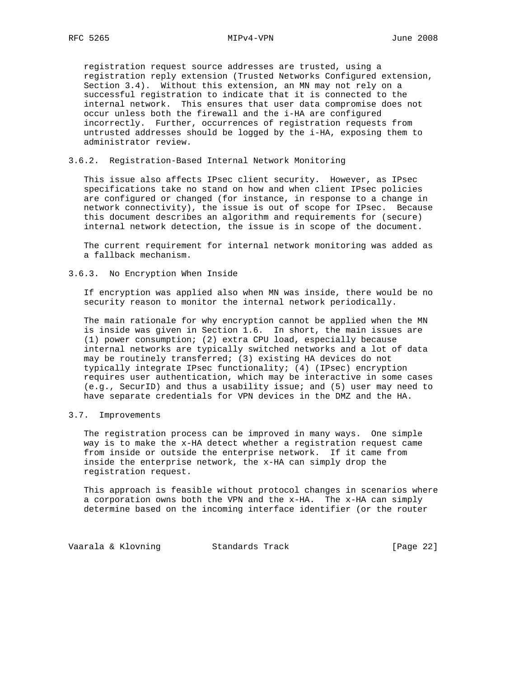registration request source addresses are trusted, using a registration reply extension (Trusted Networks Configured extension, Section 3.4). Without this extension, an MN may not rely on a successful registration to indicate that it is connected to the internal network. This ensures that user data compromise does not occur unless both the firewall and the i-HA are configured incorrectly. Further, occurrences of registration requests from untrusted addresses should be logged by the i-HA, exposing them to administrator review.

#### 3.6.2. Registration-Based Internal Network Monitoring

 This issue also affects IPsec client security. However, as IPsec specifications take no stand on how and when client IPsec policies are configured or changed (for instance, in response to a change in network connectivity), the issue is out of scope for IPsec. Because this document describes an algorithm and requirements for (secure) internal network detection, the issue is in scope of the document.

 The current requirement for internal network monitoring was added as a fallback mechanism.

#### 3.6.3. No Encryption When Inside

 If encryption was applied also when MN was inside, there would be no security reason to monitor the internal network periodically.

 The main rationale for why encryption cannot be applied when the MN is inside was given in Section 1.6. In short, the main issues are (1) power consumption; (2) extra CPU load, especially because internal networks are typically switched networks and a lot of data may be routinely transferred; (3) existing HA devices do not typically integrate IPsec functionality; (4) (IPsec) encryption requires user authentication, which may be interactive in some cases (e.g., SecurID) and thus a usability issue; and (5) user may need to have separate credentials for VPN devices in the DMZ and the HA.

#### 3.7. Improvements

 The registration process can be improved in many ways. One simple way is to make the x-HA detect whether a registration request came from inside or outside the enterprise network. If it came from inside the enterprise network, the x-HA can simply drop the registration request.

 This approach is feasible without protocol changes in scenarios where a corporation owns both the VPN and the x-HA. The x-HA can simply determine based on the incoming interface identifier (or the router

Vaarala & Klovning Standards Track [Page 22]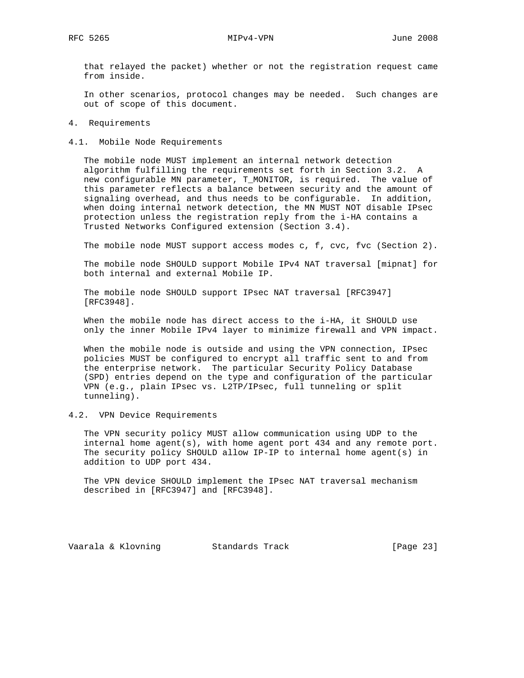that relayed the packet) whether or not the registration request came from inside.

 In other scenarios, protocol changes may be needed. Such changes are out of scope of this document.

- 4. Requirements
- 4.1. Mobile Node Requirements

 The mobile node MUST implement an internal network detection algorithm fulfilling the requirements set forth in Section 3.2. A new configurable MN parameter, T\_MONITOR, is required. The value of this parameter reflects a balance between security and the amount of signaling overhead, and thus needs to be configurable. In addition, when doing internal network detection, the MN MUST NOT disable IPsec protection unless the registration reply from the i-HA contains a Trusted Networks Configured extension (Section 3.4).

The mobile node MUST support access modes c, f, cvc, fvc (Section 2).

 The mobile node SHOULD support Mobile IPv4 NAT traversal [mipnat] for both internal and external Mobile IP.

 The mobile node SHOULD support IPsec NAT traversal [RFC3947] [RFC3948].

 When the mobile node has direct access to the i-HA, it SHOULD use only the inner Mobile IPv4 layer to minimize firewall and VPN impact.

 When the mobile node is outside and using the VPN connection, IPsec policies MUST be configured to encrypt all traffic sent to and from the enterprise network. The particular Security Policy Database (SPD) entries depend on the type and configuration of the particular VPN (e.g., plain IPsec vs. L2TP/IPsec, full tunneling or split tunneling).

4.2. VPN Device Requirements

 The VPN security policy MUST allow communication using UDP to the internal home agent(s), with home agent port  $434$  and any remote port. The security policy SHOULD allow IP-IP to internal home agent(s) in addition to UDP port 434.

 The VPN device SHOULD implement the IPsec NAT traversal mechanism described in [RFC3947] and [RFC3948].

Vaarala & Klovning Standards Track [Page 23]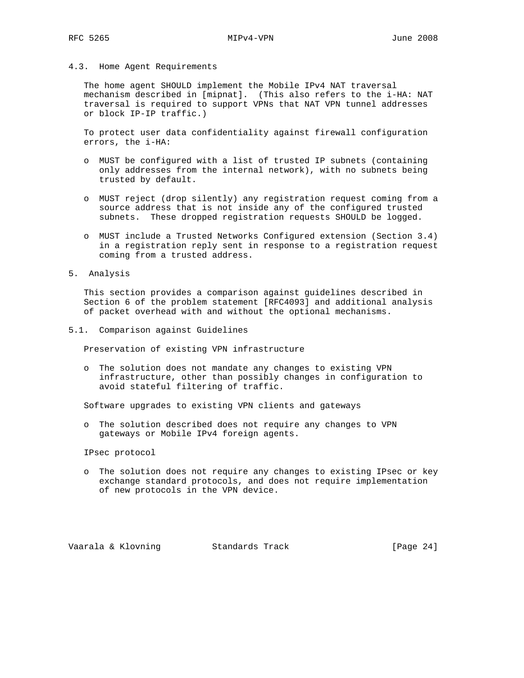#### 4.3. Home Agent Requirements

 The home agent SHOULD implement the Mobile IPv4 NAT traversal mechanism described in [mipnat]. (This also refers to the i-HA: NAT traversal is required to support VPNs that NAT VPN tunnel addresses or block IP-IP traffic.)

 To protect user data confidentiality against firewall configuration errors, the i-HA:

- o MUST be configured with a list of trusted IP subnets (containing only addresses from the internal network), with no subnets being trusted by default.
- o MUST reject (drop silently) any registration request coming from a source address that is not inside any of the configured trusted subnets. These dropped registration requests SHOULD be logged.
- o MUST include a Trusted Networks Configured extension (Section 3.4) in a registration reply sent in response to a registration request coming from a trusted address.
- 5. Analysis

 This section provides a comparison against guidelines described in Section 6 of the problem statement [RFC4093] and additional analysis of packet overhead with and without the optional mechanisms.

5.1. Comparison against Guidelines

Preservation of existing VPN infrastructure

 o The solution does not mandate any changes to existing VPN infrastructure, other than possibly changes in configuration to avoid stateful filtering of traffic.

Software upgrades to existing VPN clients and gateways

 o The solution described does not require any changes to VPN gateways or Mobile IPv4 foreign agents.

IPsec protocol

 o The solution does not require any changes to existing IPsec or key exchange standard protocols, and does not require implementation of new protocols in the VPN device.

Vaarala & Klovning Standards Track [Page 24]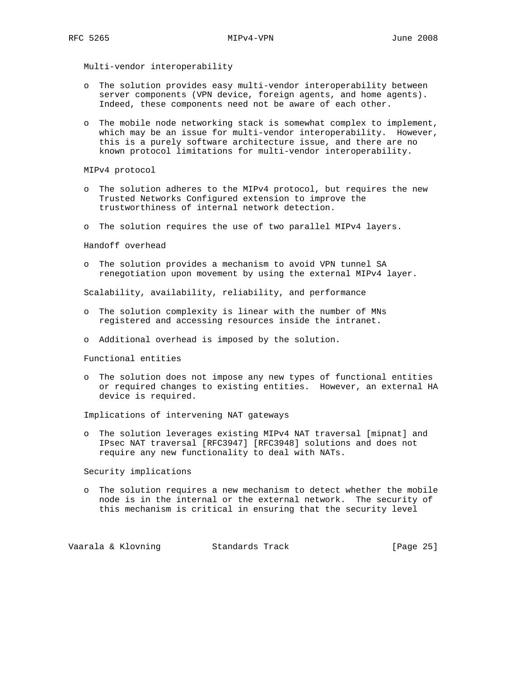Multi-vendor interoperability

- o The solution provides easy multi-vendor interoperability between server components (VPN device, foreign agents, and home agents). Indeed, these components need not be aware of each other.
- o The mobile node networking stack is somewhat complex to implement, which may be an issue for multi-vendor interoperability. However, this is a purely software architecture issue, and there are no known protocol limitations for multi-vendor interoperability.

MIPv4 protocol

- o The solution adheres to the MIPv4 protocol, but requires the new Trusted Networks Configured extension to improve the trustworthiness of internal network detection.
- o The solution requires the use of two parallel MIPv4 layers.

Handoff overhead

 o The solution provides a mechanism to avoid VPN tunnel SA renegotiation upon movement by using the external MIPv4 layer.

Scalability, availability, reliability, and performance

- o The solution complexity is linear with the number of MNs registered and accessing resources inside the intranet.
- o Additional overhead is imposed by the solution.

Functional entities

 o The solution does not impose any new types of functional entities or required changes to existing entities. However, an external HA device is required.

Implications of intervening NAT gateways

 o The solution leverages existing MIPv4 NAT traversal [mipnat] and IPsec NAT traversal [RFC3947] [RFC3948] solutions and does not require any new functionality to deal with NATs.

Security implications

 o The solution requires a new mechanism to detect whether the mobile node is in the internal or the external network. The security of this mechanism is critical in ensuring that the security level

Vaarala & Klovning Standards Track [Page 25]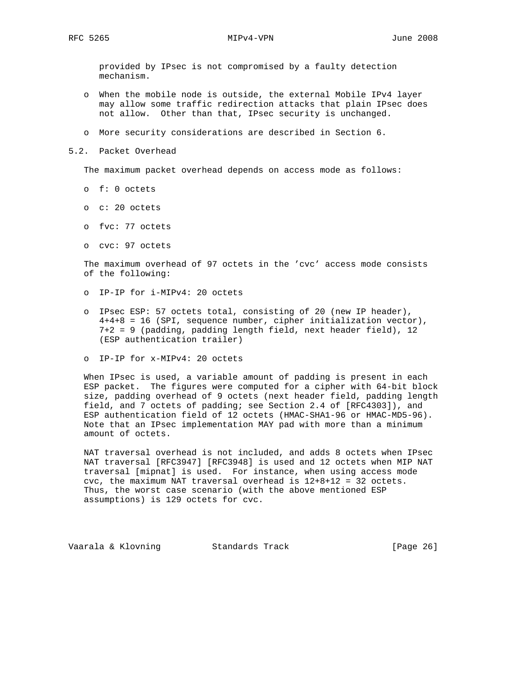provided by IPsec is not compromised by a faulty detection mechanism.

- o When the mobile node is outside, the external Mobile IPv4 layer may allow some traffic redirection attacks that plain IPsec does not allow. Other than that, IPsec security is unchanged.
- o More security considerations are described in Section 6.
- 5.2. Packet Overhead

The maximum packet overhead depends on access mode as follows:

- o f: 0 octets
- o c: 20 octets
- o fvc: 77 octets
- o cvc: 97 octets

 The maximum overhead of 97 octets in the 'cvc' access mode consists of the following:

- o IP-IP for i-MIPv4: 20 octets
- o IPsec ESP: 57 octets total, consisting of 20 (new IP header), 4+4+8 = 16 (SPI, sequence number, cipher initialization vector), 7+2 = 9 (padding, padding length field, next header field), 12 (ESP authentication trailer)
- o IP-IP for x-MIPv4: 20 octets

 When IPsec is used, a variable amount of padding is present in each ESP packet. The figures were computed for a cipher with 64-bit block size, padding overhead of 9 octets (next header field, padding length field, and 7 octets of padding; see Section 2.4 of [RFC4303]), and ESP authentication field of 12 octets (HMAC-SHA1-96 or HMAC-MD5-96). Note that an IPsec implementation MAY pad with more than a minimum amount of octets.

 NAT traversal overhead is not included, and adds 8 octets when IPsec NAT traversal [RFC3947] [RFC3948] is used and 12 octets when MIP NAT traversal [mipnat] is used. For instance, when using access mode cvc, the maximum NAT traversal overhead is 12+8+12 = 32 octets. Thus, the worst case scenario (with the above mentioned ESP assumptions) is 129 octets for cvc.

Vaarala & Klovning Standards Track [Page 26]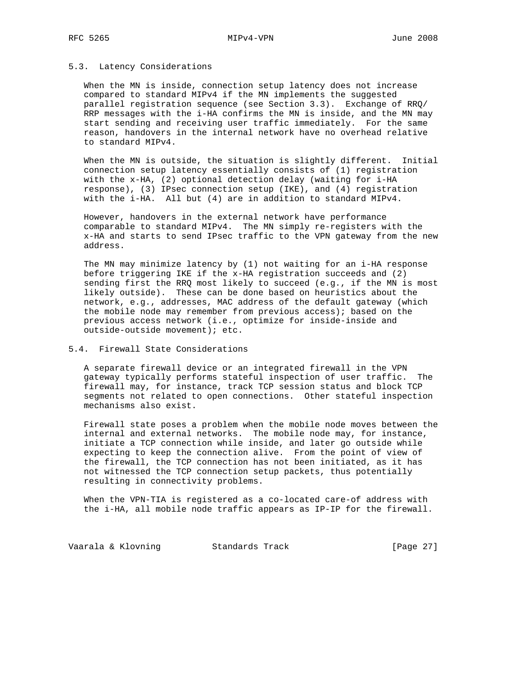### 5.3. Latency Considerations

 When the MN is inside, connection setup latency does not increase compared to standard MIPv4 if the MN implements the suggested parallel registration sequence (see Section 3.3). Exchange of RRQ/ RRP messages with the i-HA confirms the MN is inside, and the MN may start sending and receiving user traffic immediately. For the same reason, handovers in the internal network have no overhead relative to standard MIPv4.

 When the MN is outside, the situation is slightly different. Initial connection setup latency essentially consists of (1) registration with the x-HA, (2) optional detection delay (waiting for i-HA response), (3) IPsec connection setup (IKE), and (4) registration with the i-HA. All but (4) are in addition to standard MIPv4.

 However, handovers in the external network have performance comparable to standard MIPv4. The MN simply re-registers with the x-HA and starts to send IPsec traffic to the VPN gateway from the new address.

 The MN may minimize latency by (1) not waiting for an i-HA response before triggering IKE if the x-HA registration succeeds and (2) sending first the RRQ most likely to succeed (e.g., if the MN is most likely outside). These can be done based on heuristics about the network, e.g., addresses, MAC address of the default gateway (which the mobile node may remember from previous access); based on the previous access network (i.e., optimize for inside-inside and outside-outside movement); etc.

### 5.4. Firewall State Considerations

 A separate firewall device or an integrated firewall in the VPN gateway typically performs stateful inspection of user traffic. The firewall may, for instance, track TCP session status and block TCP segments not related to open connections. Other stateful inspection mechanisms also exist.

 Firewall state poses a problem when the mobile node moves between the internal and external networks. The mobile node may, for instance, initiate a TCP connection while inside, and later go outside while expecting to keep the connection alive. From the point of view of the firewall, the TCP connection has not been initiated, as it has not witnessed the TCP connection setup packets, thus potentially resulting in connectivity problems.

 When the VPN-TIA is registered as a co-located care-of address with the i-HA, all mobile node traffic appears as IP-IP for the firewall.

Vaarala & Klovning Standards Track [Page 27]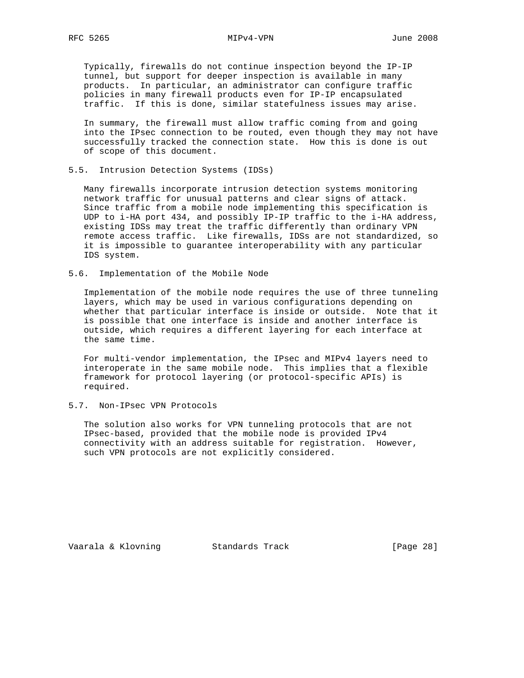Typically, firewalls do not continue inspection beyond the IP-IP tunnel, but support for deeper inspection is available in many products. In particular, an administrator can configure traffic policies in many firewall products even for IP-IP encapsulated traffic. If this is done, similar statefulness issues may arise.

 In summary, the firewall must allow traffic coming from and going into the IPsec connection to be routed, even though they may not have successfully tracked the connection state. How this is done is out of scope of this document.

#### 5.5. Intrusion Detection Systems (IDSs)

 Many firewalls incorporate intrusion detection systems monitoring network traffic for unusual patterns and clear signs of attack. Since traffic from a mobile node implementing this specification is UDP to i-HA port 434, and possibly IP-IP traffic to the i-HA address, existing IDSs may treat the traffic differently than ordinary VPN remote access traffic. Like firewalls, IDSs are not standardized, so it is impossible to guarantee interoperability with any particular IDS system.

5.6. Implementation of the Mobile Node

 Implementation of the mobile node requires the use of three tunneling layers, which may be used in various configurations depending on whether that particular interface is inside or outside. Note that it is possible that one interface is inside and another interface is outside, which requires a different layering for each interface at the same time.

 For multi-vendor implementation, the IPsec and MIPv4 layers need to interoperate in the same mobile node. This implies that a flexible framework for protocol layering (or protocol-specific APIs) is required.

## 5.7. Non-IPsec VPN Protocols

 The solution also works for VPN tunneling protocols that are not IPsec-based, provided that the mobile node is provided IPv4 connectivity with an address suitable for registration. However, such VPN protocols are not explicitly considered.

Vaarala & Klovning Standards Track [Page 28]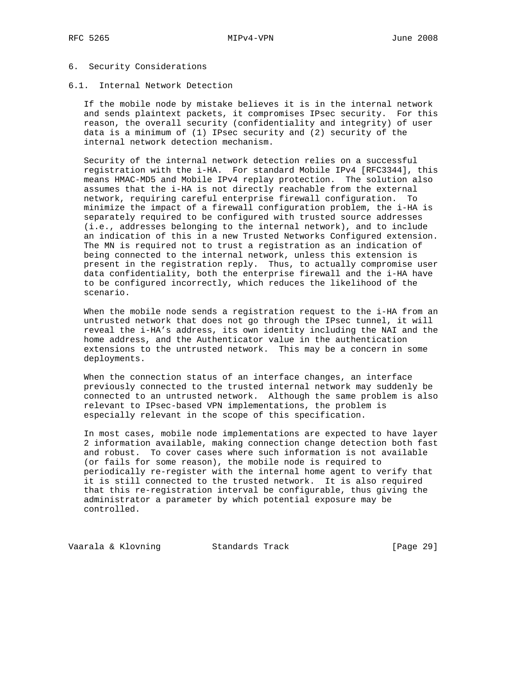#### 6. Security Considerations

#### 6.1. Internal Network Detection

 If the mobile node by mistake believes it is in the internal network and sends plaintext packets, it compromises IPsec security. For this reason, the overall security (confidentiality and integrity) of user data is a minimum of (1) IPsec security and (2) security of the internal network detection mechanism.

 Security of the internal network detection relies on a successful registration with the i-HA. For standard Mobile IPv4 [RFC3344], this means HMAC-MD5 and Mobile IPv4 replay protection. The solution also assumes that the i-HA is not directly reachable from the external network, requiring careful enterprise firewall configuration. To minimize the impact of a firewall configuration problem, the i-HA is separately required to be configured with trusted source addresses (i.e., addresses belonging to the internal network), and to include an indication of this in a new Trusted Networks Configured extension. The MN is required not to trust a registration as an indication of being connected to the internal network, unless this extension is present in the registration reply. Thus, to actually compromise user data confidentiality, both the enterprise firewall and the i-HA have to be configured incorrectly, which reduces the likelihood of the scenario.

 When the mobile node sends a registration request to the i-HA from an untrusted network that does not go through the IPsec tunnel, it will reveal the i-HA's address, its own identity including the NAI and the home address, and the Authenticator value in the authentication extensions to the untrusted network. This may be a concern in some deployments.

 When the connection status of an interface changes, an interface previously connected to the trusted internal network may suddenly be connected to an untrusted network. Although the same problem is also relevant to IPsec-based VPN implementations, the problem is especially relevant in the scope of this specification.

 In most cases, mobile node implementations are expected to have layer 2 information available, making connection change detection both fast and robust. To cover cases where such information is not available (or fails for some reason), the mobile node is required to periodically re-register with the internal home agent to verify that it is still connected to the trusted network. It is also required that this re-registration interval be configurable, thus giving the administrator a parameter by which potential exposure may be controlled.

Vaarala & Klovning Standards Track [Page 29]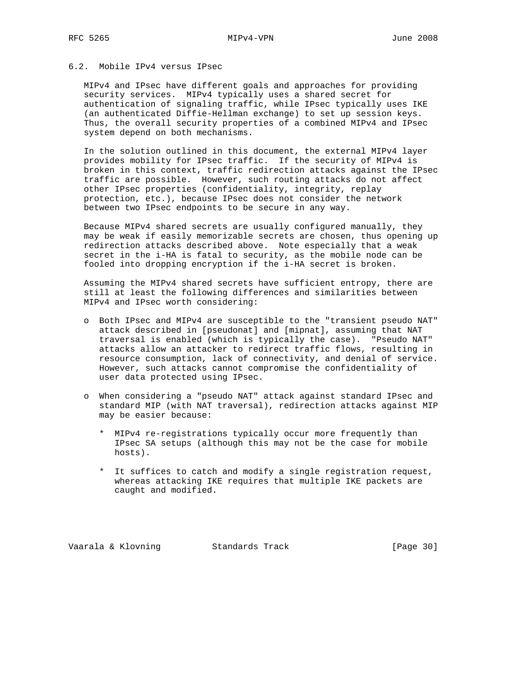## 6.2. Mobile IPv4 versus IPsec

 MIPv4 and IPsec have different goals and approaches for providing security services. MIPv4 typically uses a shared secret for authentication of signaling traffic, while IPsec typically uses IKE (an authenticated Diffie-Hellman exchange) to set up session keys. Thus, the overall security properties of a combined MIPv4 and IPsec system depend on both mechanisms.

 In the solution outlined in this document, the external MIPv4 layer provides mobility for IPsec traffic. If the security of MIPv4 is broken in this context, traffic redirection attacks against the IPsec traffic are possible. However, such routing attacks do not affect other IPsec properties (confidentiality, integrity, replay protection, etc.), because IPsec does not consider the network between two IPsec endpoints to be secure in any way.

 Because MIPv4 shared secrets are usually configured manually, they may be weak if easily memorizable secrets are chosen, thus opening up redirection attacks described above. Note especially that a weak secret in the i-HA is fatal to security, as the mobile node can be fooled into dropping encryption if the i-HA secret is broken.

 Assuming the MIPv4 shared secrets have sufficient entropy, there are still at least the following differences and similarities between MIPv4 and IPsec worth considering:

- o Both IPsec and MIPv4 are susceptible to the "transient pseudo NAT" attack described in [pseudonat] and [mipnat], assuming that NAT traversal is enabled (which is typically the case). "Pseudo NAT" attacks allow an attacker to redirect traffic flows, resulting in resource consumption, lack of connectivity, and denial of service. However, such attacks cannot compromise the confidentiality of user data protected using IPsec.
- o When considering a "pseudo NAT" attack against standard IPsec and standard MIP (with NAT traversal), redirection attacks against MIP may be easier because:
	- \* MIPv4 re-registrations typically occur more frequently than IPsec SA setups (although this may not be the case for mobile hosts).
	- \* It suffices to catch and modify a single registration request, whereas attacking IKE requires that multiple IKE packets are caught and modified.

Vaarala & Klovning Standards Track [Page 30]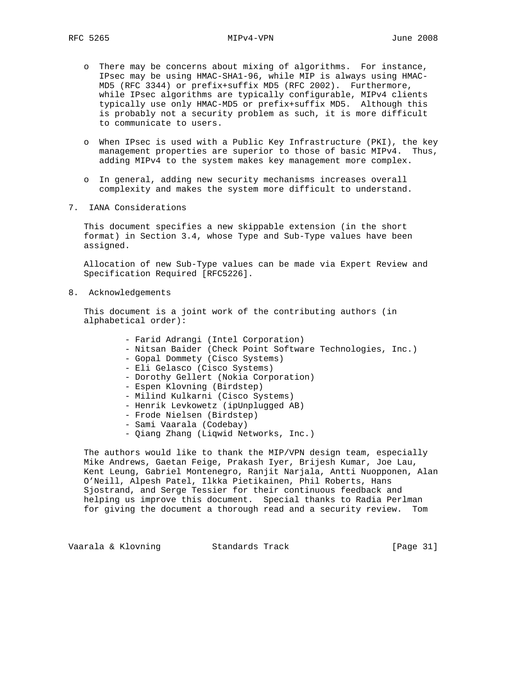- o There may be concerns about mixing of algorithms. For instance, IPsec may be using HMAC-SHA1-96, while MIP is always using HMAC- MD5 (RFC 3344) or prefix+suffix MD5 (RFC 2002). Furthermore, while IPsec algorithms are typically configurable, MIPv4 clients typically use only HMAC-MD5 or prefix+suffix MD5. Although this is probably not a security problem as such, it is more difficult to communicate to users.
- o When IPsec is used with a Public Key Infrastructure (PKI), the key management properties are superior to those of basic MIPv4. Thus, adding MIPv4 to the system makes key management more complex.
- o In general, adding new security mechanisms increases overall complexity and makes the system more difficult to understand.
- 7. IANA Considerations

 This document specifies a new skippable extension (in the short format) in Section 3.4, whose Type and Sub-Type values have been assigned.

 Allocation of new Sub-Type values can be made via Expert Review and Specification Required [RFC5226].

8. Acknowledgements

 This document is a joint work of the contributing authors (in alphabetical order):

- Farid Adrangi (Intel Corporation)
- Nitsan Baider (Check Point Software Technologies, Inc.)
- Gopal Dommety (Cisco Systems)
- Eli Gelasco (Cisco Systems)
- Dorothy Gellert (Nokia Corporation)
- Espen Klovning (Birdstep)
- Milind Kulkarni (Cisco Systems)
- Henrik Levkowetz (ipUnplugged AB)
- Frode Nielsen (Birdstep)
- Sami Vaarala (Codebay)
- Qiang Zhang (Liqwid Networks, Inc.)

 The authors would like to thank the MIP/VPN design team, especially Mike Andrews, Gaetan Feige, Prakash Iyer, Brijesh Kumar, Joe Lau, Kent Leung, Gabriel Montenegro, Ranjit Narjala, Antti Nuopponen, Alan O'Neill, Alpesh Patel, Ilkka Pietikainen, Phil Roberts, Hans Sjostrand, and Serge Tessier for their continuous feedback and helping us improve this document. Special thanks to Radia Perlman for giving the document a thorough read and a security review. Tom

Vaarala & Klovning Standards Track [Page 31]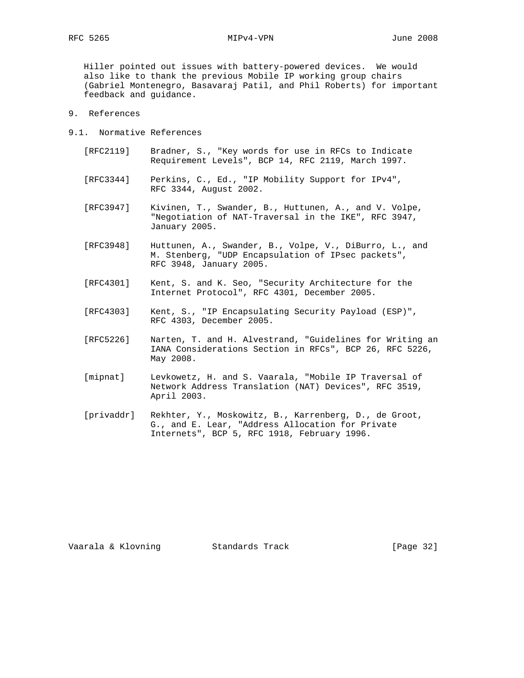Hiller pointed out issues with battery-powered devices. We would also like to thank the previous Mobile IP working group chairs (Gabriel Montenegro, Basavaraj Patil, and Phil Roberts) for important feedback and guidance.

- 9. References
- 9.1. Normative References
	- [RFC2119] Bradner, S., "Key words for use in RFCs to Indicate Requirement Levels", BCP 14, RFC 2119, March 1997.
	- [RFC3344] Perkins, C., Ed., "IP Mobility Support for IPv4", RFC 3344, August 2002.
	- [RFC3947] Kivinen, T., Swander, B., Huttunen, A., and V. Volpe, "Negotiation of NAT-Traversal in the IKE", RFC 3947, January 2005.
	- [RFC3948] Huttunen, A., Swander, B., Volpe, V., DiBurro, L., and M. Stenberg, "UDP Encapsulation of IPsec packets", RFC 3948, January 2005.
	- [RFC4301] Kent, S. and K. Seo, "Security Architecture for the Internet Protocol", RFC 4301, December 2005.
	- [RFC4303] Kent, S., "IP Encapsulating Security Payload (ESP)", RFC 4303, December 2005.
	- [RFC5226] Narten, T. and H. Alvestrand, "Guidelines for Writing an IANA Considerations Section in RFCs", BCP 26, RFC 5226, May 2008.
	- [mipnat] Levkowetz, H. and S. Vaarala, "Mobile IP Traversal of Network Address Translation (NAT) Devices", RFC 3519, April 2003.
	- [privaddr] Rekhter, Y., Moskowitz, B., Karrenberg, D., de Groot, G., and E. Lear, "Address Allocation for Private Internets", BCP 5, RFC 1918, February 1996.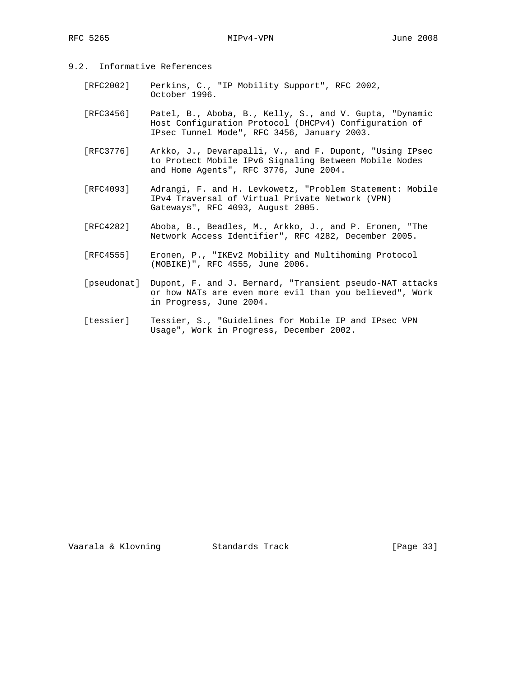- 9.2. Informative References
	- [RFC2002] Perkins, C., "IP Mobility Support", RFC 2002, October 1996.
	- [RFC3456] Patel, B., Aboba, B., Kelly, S., and V. Gupta, "Dynamic Host Configuration Protocol (DHCPv4) Configuration of IPsec Tunnel Mode", RFC 3456, January 2003.
	- [RFC3776] Arkko, J., Devarapalli, V., and F. Dupont, "Using IPsec to Protect Mobile IPv6 Signaling Between Mobile Nodes and Home Agents", RFC 3776, June 2004.
	- [RFC4093] Adrangi, F. and H. Levkowetz, "Problem Statement: Mobile IPv4 Traversal of Virtual Private Network (VPN) Gateways", RFC 4093, August 2005.
	- [RFC4282] Aboba, B., Beadles, M., Arkko, J., and P. Eronen, "The Network Access Identifier", RFC 4282, December 2005.
	- [RFC4555] Eronen, P., "IKEv2 Mobility and Multihoming Protocol (MOBIKE)", RFC 4555, June 2006.
	- [pseudonat] Dupont, F. and J. Bernard, "Transient pseudo-NAT attacks or how NATs are even more evil than you believed", Work in Progress, June 2004.
	- [tessier] Tessier, S., "Guidelines for Mobile IP and IPsec VPN Usage", Work in Progress, December 2002.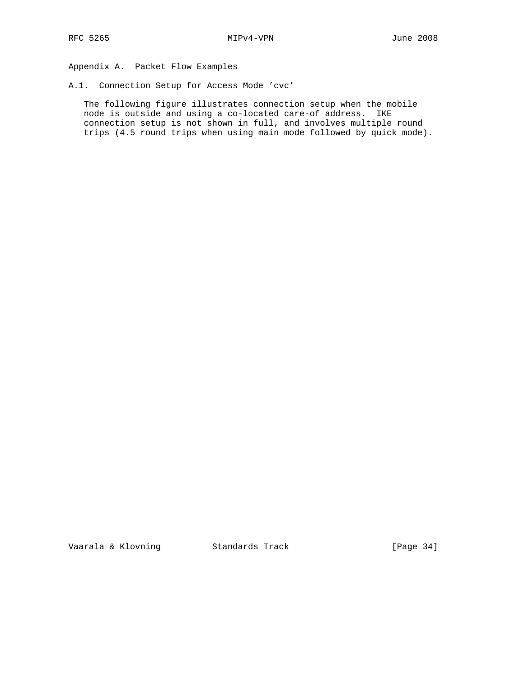Appendix A. Packet Flow Examples

A.1. Connection Setup for Access Mode 'cvc'

 The following figure illustrates connection setup when the mobile node is outside and using a co-located care-of address. IKE connection setup is not shown in full, and involves multiple round trips (4.5 round trips when using main mode followed by quick mode).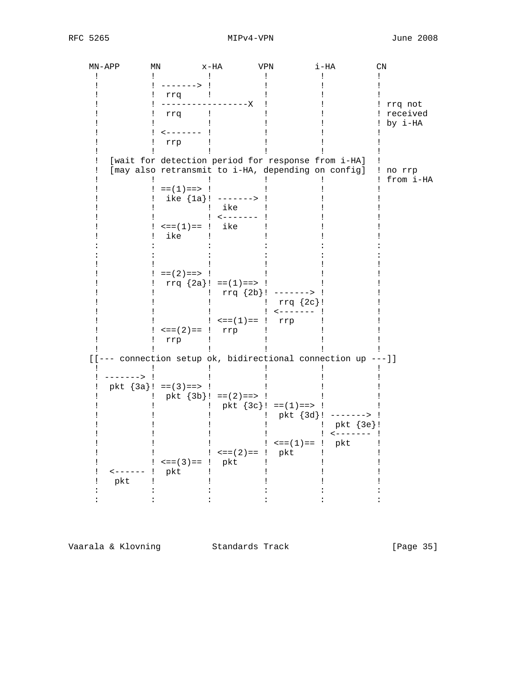RFC 5265 MIPv4-VPN June 2008

| MN-APP                 | ΜN                                                                                                       | x-HA                        | VPN                         | i-HA                                         | $\mathop{\rm CN}\nolimits$  |  |
|------------------------|----------------------------------------------------------------------------------------------------------|-----------------------------|-----------------------------|----------------------------------------------|-----------------------------|--|
|                        | -------> !                                                                                               |                             |                             |                                              |                             |  |
|                        | rrq                                                                                                      | Ţ                           |                             |                                              |                             |  |
|                        | rrq                                                                                                      | -------X<br>$\mathbf{I}$    |                             |                                              | rrq not<br>received         |  |
|                        | --------                                                                                                 |                             |                             |                                              | by i-HA                     |  |
|                        | rrp                                                                                                      |                             |                             |                                              |                             |  |
|                        | [wait for detection period for response from i-HA]<br>[may also retransmit to i-HA, depending on config] |                             |                             |                                              | no rrp                      |  |
|                        | $==(1) == > !$                                                                                           |                             |                             |                                              | from i-HA                   |  |
|                        |                                                                                                          | ike ${1a}$ : ------->       |                             |                                              |                             |  |
|                        |                                                                                                          | ike<br>$- - - - - - - -$    |                             |                                              |                             |  |
|                        | $\mathsf{L} = (1) = -$                                                                                   | ike                         |                             |                                              |                             |  |
|                        | ike                                                                                                      |                             |                             |                                              |                             |  |
|                        |                                                                                                          |                             |                             |                                              |                             |  |
|                        |                                                                                                          |                             |                             |                                              |                             |  |
|                        | $==(2) == > !$                                                                                           | rrq ${2a}$ : == (1) = = > : |                             |                                              |                             |  |
|                        |                                                                                                          |                             | rrq ${2b}$ : -------> !     |                                              |                             |  |
|                        |                                                                                                          |                             |                             | $rrq \{2c\}$ !<br>$\leftarrow$ - - - - - - - |                             |  |
|                        |                                                                                                          | $: \leq = (1) == !$         | rrp                         |                                              |                             |  |
|                        | $\epsilon == (2) == 1$                                                                                   | rrp                         |                             |                                              |                             |  |
|                        | rrp                                                                                                      |                             |                             |                                              |                             |  |
|                        | [[--- connection setup ok, bidirectional connection up ---]]                                             |                             |                             |                                              |                             |  |
| ------> !              |                                                                                                          |                             |                             |                                              |                             |  |
|                        | pkt ${3a}$ : == (3) = = > !                                                                              |                             |                             |                                              |                             |  |
|                        |                                                                                                          | pkt ${3b}$ : ==(2) ==> !    | pkt ${3c}$ : == (1) = = > : |                                              |                             |  |
|                        |                                                                                                          |                             |                             | pkt ${3d}$ : -------> !                      |                             |  |
|                        |                                                                                                          |                             |                             |                                              | pkt {3e}!<br>$!$ <------- ! |  |
|                        |                                                                                                          |                             |                             | $\leq = (1) == !$ pkt                        |                             |  |
|                        |                                                                                                          |                             | $\epsilon = (2) = 1$ pkt    |                                              |                             |  |
| $\leftarrow$ - - - - - | $\leq$ = = (3) = = !<br>pkt                                                                              | pkt                         |                             |                                              |                             |  |
| pkt                    |                                                                                                          |                             |                             |                                              |                             |  |
|                        |                                                                                                          |                             |                             |                                              |                             |  |
|                        |                                                                                                          |                             |                             |                                              |                             |  |

Vaarala & Klovning Standards Track [Page 35]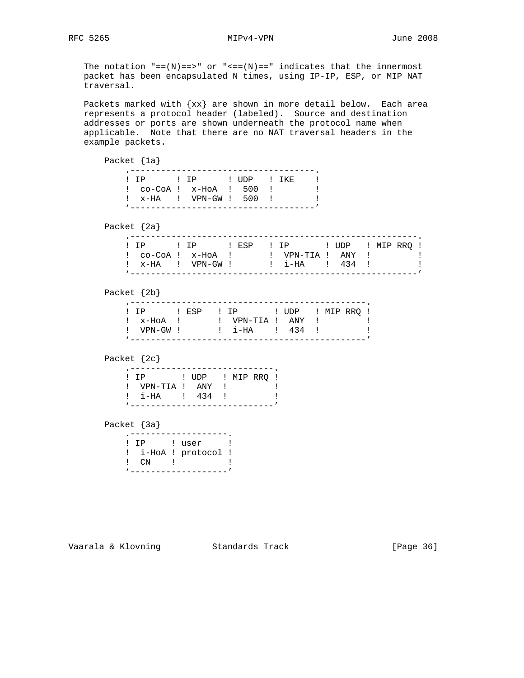The notation  $"==(N)==>"$  or  $"<=(N)=="$  indicates that the innermost packet has been encapsulated N times, using IP-IP, ESP, or MIP NAT traversal.

 Packets marked with {xx} are shown in more detail below. Each area represents a protocol header (labeled). Source and destination addresses or ports are shown underneath the protocol name when applicable. Note that there are no NAT traversal headers in the example packets.

 Packet {1a} .------------------------------------. ! IP ! IP ! UDP ! IKE ! ! co-CoA ! x-HoA ! 500 ! ! ! x-HA ! VPN-GW ! 500 ! ! '------------------------------------' Packet {2a} .--------------------------------------------------------. ! IP : IP : ESP ! IP : UDP ! MIP RRQ ! ! co-CoA ! x-HoA ! ! VPN-TIA ! ANY ! ! ! x-HA ! VPN-GW ! ! i-HA ! 434 ! ! '--------------------------------------------------------' Packet {2b} .----------------------------------------------. ! IP ! ESP ! IP ! UDP ! MIP RRQ ! ! x-HoA ! ! VPN-TIA ! ANY ! ! ! VPN-GW ! : i-HA ! 434 ! ! '----------------------------------------------' Packet {2c} .<sup>-----------------------------</sup>. ! IP ! UDP ! MIP RRQ ! ! VPN-TIA ! ANY ! ! ! i-HA ! 434 ! ! '----------------------------' Packet {3a} .-------------------. ! IP ! user ! ! i-HoA ! protocol ! ! CN ! ! '-------------------'

## Vaarala & Klovning Standards Track [Page 36]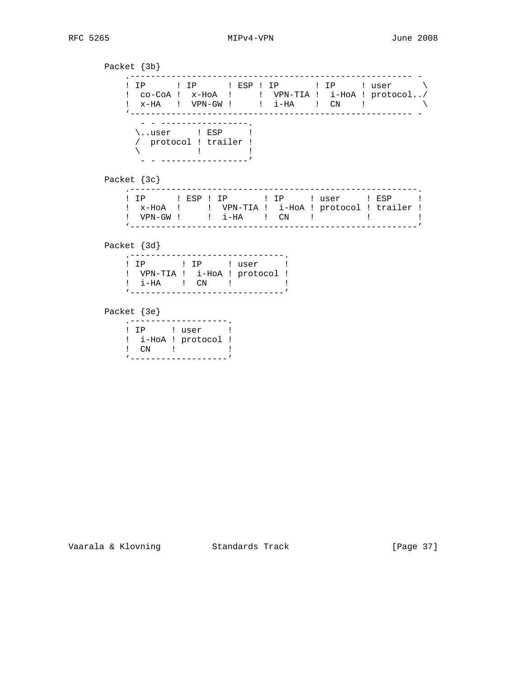Packet {3b} .------------------------------------------------------- - ! IP ! IP ! ESP ! IP ! IP ! user \ ! co-CoA ! x-HoA ! ! VPN-TIA ! i-HoA ! protocol../ ! x-HA ! VPN-GW ! ! i-HA ! CN ! \ '------------------------------------------------------- - - - -----------------. \..user ! ESP ! / protocol ! trailer !  $\begin{array}{ccc} \diagup & & 1 & \diagup & & 1 \ \diagdown & & & \diagup & & \diagup \end{array}$  $-$  - -----------------' Packet {3c} .--------------------------------------------------------. ! IP : ESP ! IP : ! USer : ESP ! ! x-HoA ! ! VPN-TIA ! i-HoA ! protocol ! trailer ! ! VPN-GW ! ! i-HA ! CN ! ! ! ! '--------------------------------------------------------' Packet {3d} .<sup>-------------------------------</sup>. ! IP : user ! ! VPN-TIA ! i-HoA ! protocol ! ! i-HA ! CN ! ! '------------------------------' Packet {3e} .-------------------. ! IP ! user ! ! i-HoA ! protocol ! ! CN ! ! '-------------------'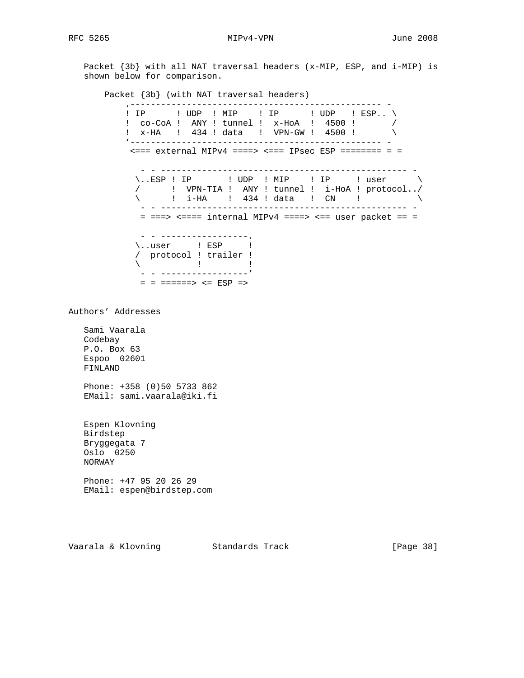Packet {3b} with all NAT traversal headers (x-MIP, ESP, and i-MIP) is shown below for comparison.

Packet {3b} (with NAT traversal headers)

 .------------------------------------------------- - ! IP : UDP ! MIP : IP : UDP ! ESP.. \ ! co-CoA ! ANY ! tunnel ! x-HoA ! 4500 ! / ! x-HA ! 434 ! data ! VPN-GW ! 4500 ! \ '------------------------------------------------- -  $\epsilon$  === external MIPv4 ====>  $\epsilon$  === IPsec ESP ======== = = - - ------------------------------------------------ -  $\backslash$ ..ESP ! IP : UDP ! MIP : IP : user  $\backslash$  / ! VPN-TIA ! ANY ! tunnel ! i-HoA ! protocol../  $\setminus$  : i-HA ! 434 ! data ! CN !  $\setminus$  - - ------------------------------------------------ - = ===> <==== internal MIPv4 ====> <== user packet == = - - -----------------. \..user ! ESP ! / protocol ! trailer !  $\lambda$   $\qquad$   $\qquad$   $\qquad$   $\qquad$   $\qquad$   $\qquad$   $\qquad$   $\qquad$   $\qquad$   $\qquad$   $\qquad$   $\qquad$   $\qquad$   $\qquad$   $\qquad$   $\qquad$   $\qquad$   $\qquad$   $\qquad$   $\qquad$   $\qquad$   $\qquad$   $\qquad$   $\qquad$   $\qquad$   $\qquad$   $\qquad$   $\qquad$   $\qquad$   $\qquad$   $\qquad$   $\qquad$   $\qquad$   $\qquad$   $\qquad$   $\qquad$  - - -----------------'  $=$  =  $=$   $=$   $=$   $=$   $=$   $<$   $=$   $ESP$   $=$   $>$ Authors' Addresses Sami Vaarala Codebay P.O. Box 63 Espoo 02601 FINLAND Phone: +358 (0)50 5733 862 EMail: sami.vaarala@iki.fi Espen Klovning Birdstep Bryggegata 7 Oslo 0250 NORWAY Phone: +47 95 20 26 29 EMail: espen@birdstep.com

Vaarala & Klovning Standards Track [Page 38]